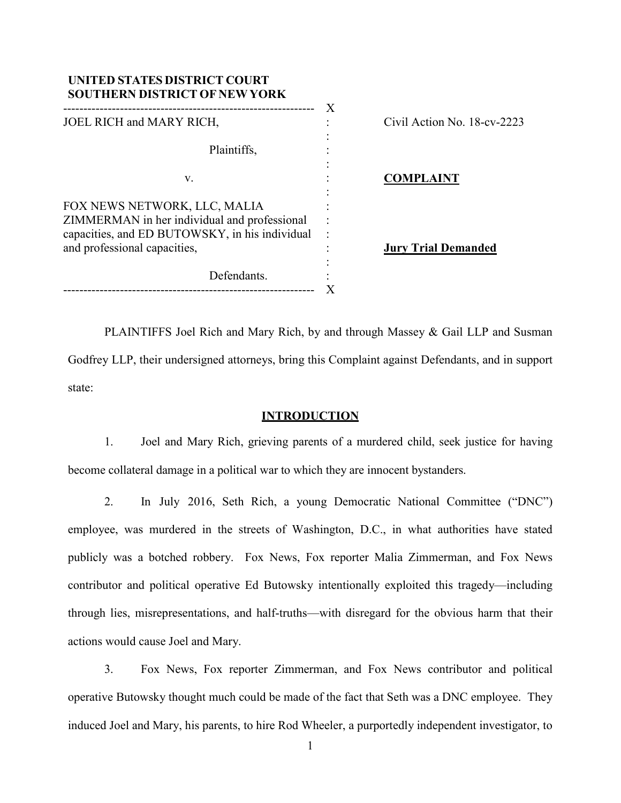| UNITED STATES DISTRICT COURT<br><b>SOUTHERN DISTRICT OF NEW YORK</b>                                                                                           | X |                             |
|----------------------------------------------------------------------------------------------------------------------------------------------------------------|---|-----------------------------|
| JOEL RICH and MARY RICH,                                                                                                                                       |   | Civil Action No. 18-cv-2223 |
| Plaintiffs,                                                                                                                                                    |   |                             |
| V.                                                                                                                                                             |   | <b>COMPLAINT</b>            |
| FOX NEWS NETWORK, LLC, MALIA<br>ZIMMERMAN in her individual and professional<br>capacities, and ED BUTOWSKY, in his individual<br>and professional capacities, |   | <b>Jury Trial Demanded</b>  |
| Defendants.                                                                                                                                                    |   |                             |

PLAINTIFFS Joel Rich and Mary Rich, by and through Massey & Gail LLP and Susman Godfrey LLP, their undersigned attorneys, bring this Complaint against Defendants, and in support state:

## **INTRODUCTION**

1. Joel and Mary Rich, grieving parents of a murdered child, seek justice for having become collateral damage in a political war to which they are innocent bystanders.

2. In July 2016, Seth Rich, a young Democratic National Committee ("DNC") employee, was murdered in the streets of Washington, D.C., in what authorities have stated publicly was a botched robbery. Fox News, Fox reporter Malia Zimmerman, and Fox News contributor and political operative Ed Butowsky intentionally exploited this tragedy—including through lies, misrepresentations, and half-truths—with disregard for the obvious harm that their actions would cause Joel and Mary.

3. Fox News, Fox reporter Zimmerman, and Fox News contributor and political operative Butowsky thought much could be made of the fact that Seth was a DNC employee. They induced Joel and Mary, his parents, to hire Rod Wheeler, a purportedly independent investigator, to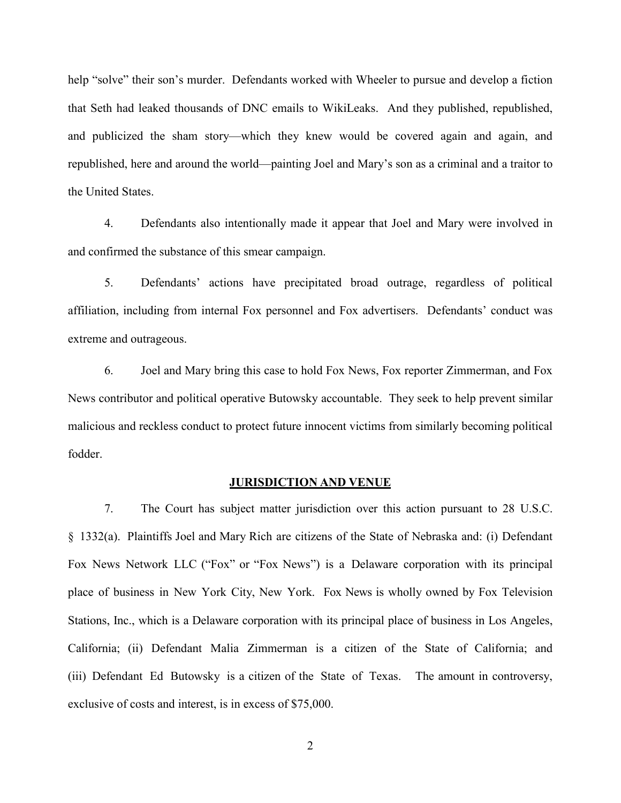help "solve" their son's murder. Defendants worked with Wheeler to pursue and develop a fiction that Seth had leaked thousands of DNC emails to WikiLeaks. And they published, republished, and publicized the sham story—which they knew would be covered again and again, and republished, here and around the world—painting Joel and Mary's son as a criminal and a traitor to the United States.

4. Defendants also intentionally made it appear that Joel and Mary were involved in and confirmed the substance of this smear campaign.

5. Defendants' actions have precipitated broad outrage, regardless of political affiliation, including from internal Fox personnel and Fox advertisers. Defendants' conduct was extreme and outrageous.

6. Joel and Mary bring this case to hold Fox News, Fox reporter Zimmerman, and Fox News contributor and political operative Butowsky accountable. They seek to help prevent similar malicious and reckless conduct to protect future innocent victims from similarly becoming political fodder.

### **JURISDICTION AND VENUE**

7. The Court has subject matter jurisdiction over this action pursuant to 28 U.S.C. § 1332(a). Plaintiffs Joel and Mary Rich are citizens of the State of Nebraska and: (i) Defendant Fox News Network LLC ("Fox" or "Fox News") is a Delaware corporation with its principal place of business in New York City, New York. Fox News is wholly owned by Fox Television Stations, Inc., which is a Delaware corporation with its principal place of business in Los Angeles, California; (ii) Defendant Malia Zimmerman is a citizen of the State of California; and (iii) Defendant Ed Butowsky is a citizen of the State of Texas. The amount in controversy, exclusive of costs and interest, is in excess of \$75,000.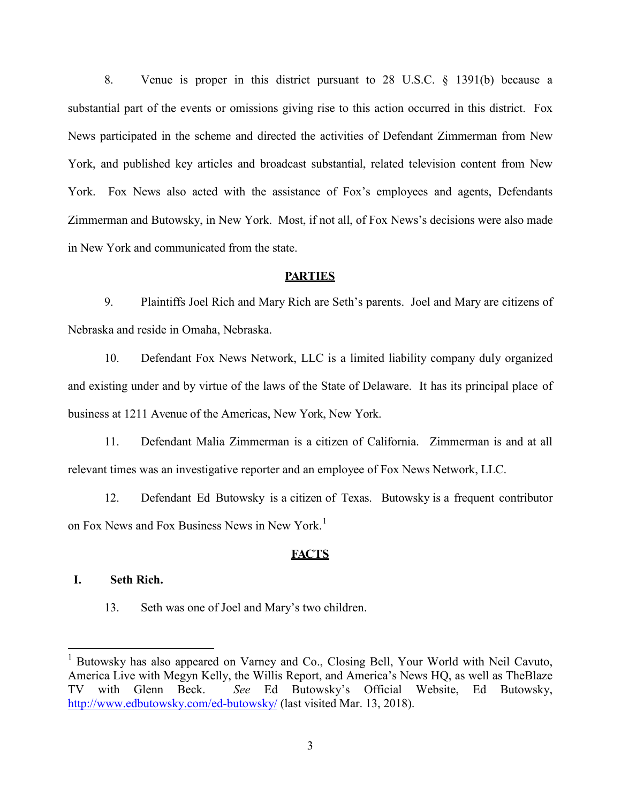8. Venue is proper in this district pursuant to 28 U.S.C. § 1391(b) because a substantial part of the events or omissions giving rise to this action occurred in this district. Fox News participated in the scheme and directed the activities of Defendant Zimmerman from New York, and published key articles and broadcast substantial, related television content from New York. Fox News also acted with the assistance of Fox's employees and agents, Defendants Zimmerman and Butowsky, in New York. Most, if not all, of Fox News's decisions were also made in New York and communicated from the state.

#### **PARTIES**

9. Plaintiffs Joel Rich and Mary Rich are Seth's parents. Joel and Mary are citizens of Nebraska and reside in Omaha, Nebraska.

10. Defendant Fox News Network, LLC is a limited liability company duly organized and existing under and by virtue of the laws of the State of Delaware. It has its principal place of business at 1211 Avenue of the Americas, New York, New York.

11. Defendant Malia Zimmerman is a citizen of California. Zimmerman is and at all relevant times was an investigative reporter and an employee of Fox News Network, LLC.

12. Defendant Ed Butowsky is a citizen of Texas. Butowsky is a frequent contributor on Fox News and Fox Business News in New York. [1](#page-2-0)

#### **FACTS**

## **I. Seth Rich.**

13. Seth was one of Joel and Mary's two children.

<span id="page-2-0"></span><sup>&</sup>lt;sup>1</sup> Butowsky has also appeared on Varney and Co., Closing Bell, Your World with Neil Cavuto, America Live with Megyn Kelly, the Willis Report, and America's News HQ, as well as TheBlaze TV with Glenn Beck. *See* Ed Butowsky's Official Website, Ed Butowsky, <http://www.edbutowsky.com/ed-butowsky/> (last visited Mar. 13, 2018).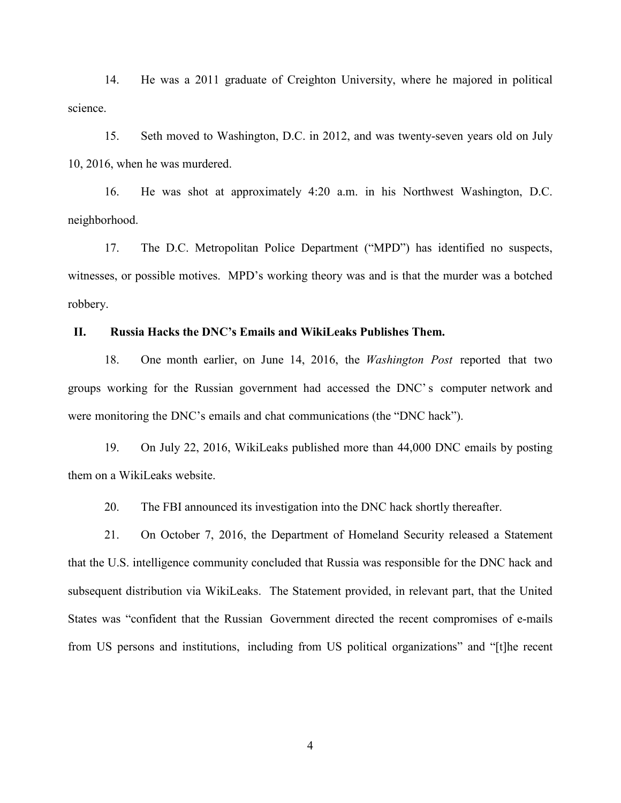14. He was a 2011 graduate of Creighton University, where he majored in political science.

15. Seth moved to Washington, D.C. in 2012, and was twenty-seven years old on July 10, 2016, when he was murdered.

16. He was shot at approximately 4:20 a.m. in his Northwest Washington, D.C. neighborhood.

17. The D.C. Metropolitan Police Department ("MPD") has identified no suspects, witnesses, or possible motives. MPD's working theory was and is that the murder was a botched robbery.

#### **II. Russia Hacks the DNC's Emails and WikiLeaks Publishes Them.**

18. One month earlier, on June 14, 2016, the *Washington Post* reported that two groups working for the Russian government had accessed the DNC's computer network and were monitoring the DNC's emails and chat communications (the "DNC hack").

19. On July 22, 2016, WikiLeaks published more than 44,000 DNC emails by posting them on a WikiLeaks website.

20. The FBI announced its investigation into the DNC hack shortly thereafter.

21. On October 7, 2016, the Department of Homeland Security released a Statement that the U.S. intelligence community concluded that Russia was responsible for the DNC hack and subsequent distribution via WikiLeaks. The Statement provided, in relevant part, that the United States was "confident that the Russian Government directed the recent compromises of e-mails from US persons and institutions, including from US political organizations" and "[t]he recent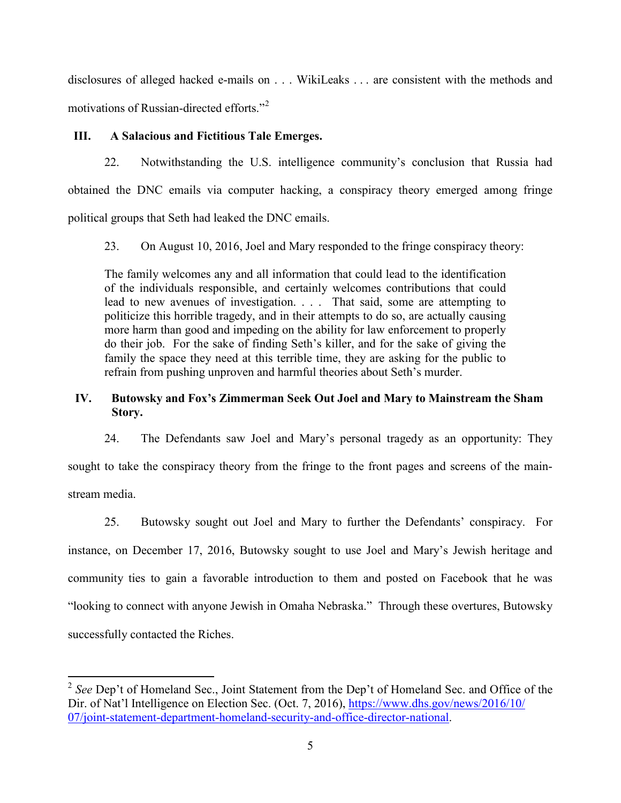disclosures of alleged hacked e-mails on . . . WikiLeaks . . . are consistent with the methods and motivations of Russian-directed efforts."<sup>[2](#page-4-0)</sup>

## **III. A Salacious and Fictitious Tale Emerges.**

22. Notwithstanding the U.S. intelligence community's conclusion that Russia had obtained the DNC emails via computer hacking, a conspiracy theory emerged among fringe political groups that Seth had leaked the DNC emails.

23. On August 10, 2016, Joel and Mary responded to the fringe conspiracy theory:

The family welcomes any and all information that could lead to the identification of the individuals responsible, and certainly welcomes contributions that could lead to new avenues of investigation. . . . That said, some are attempting to politicize this horrible tragedy, and in their attempts to do so, are actually causing more harm than good and impeding on the ability for law enforcement to properly do their job. For the sake of finding Seth's killer, and for the sake of giving the family the space they need at this terrible time, they are asking for the public to refrain from pushing unproven and harmful theories about Seth's murder.

# **IV. Butowsky and Fox's Zimmerman Seek Out Joel and Mary to Mainstream the Sham Story.**

24. The Defendants saw Joel and Mary's personal tragedy as an opportunity: They sought to take the conspiracy theory from the fringe to the front pages and screens of the main-

stream media.

25. Butowsky sought out Joel and Mary to further the Defendants' conspiracy. For instance, on December 17, 2016, Butowsky sought to use Joel and Mary's Jewish heritage and community ties to gain a favorable introduction to them and posted on Facebook that he was "looking to connect with anyone Jewish in Omaha Nebraska." Through these overtures, Butowsky successfully contacted the Riches.

<span id="page-4-0"></span><sup>&</sup>lt;sup>2</sup> See Dep't of Homeland Sec., Joint Statement from the Dep't of Homeland Sec. and Office of the Dir. of Nat'l Intelligence on Election Sec. (Oct. 7, 2016), [https://www.dhs.gov/news/2016/10/](https://www.dhs.gov/news/2016/10/07/joint-statement-department-homeland-security-and-office-director-national) [07/joint-statement-department-homeland-security-and-office-director-national.](https://www.dhs.gov/news/2016/10/07/joint-statement-department-homeland-security-and-office-director-national)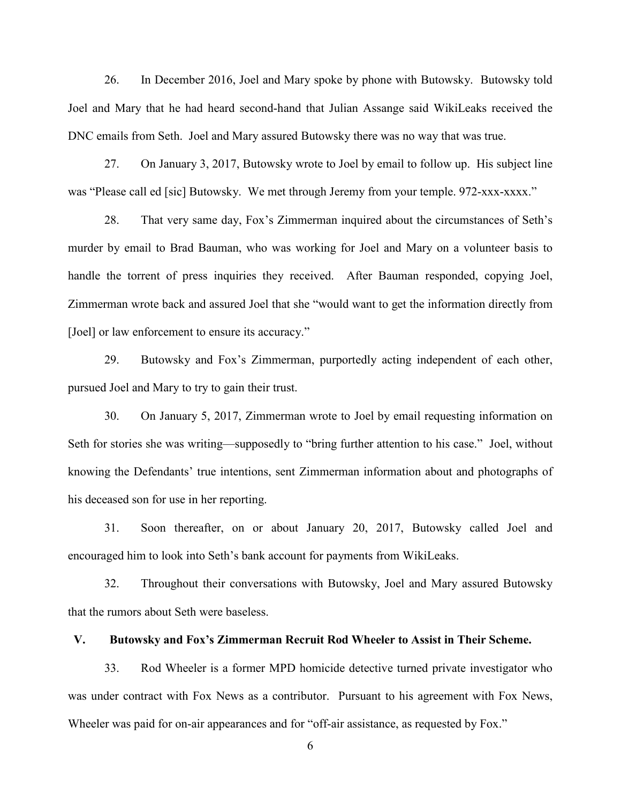26. In December 2016, Joel and Mary spoke by phone with Butowsky. Butowsky told Joel and Mary that he had heard second-hand that Julian Assange said WikiLeaks received the DNC emails from Seth. Joel and Mary assured Butowsky there was no way that was true.

27. On January 3, 2017, Butowsky wrote to Joel by email to follow up. His subject line was "Please call ed [sic] Butowsky. We met through Jeremy from your temple. 972-xxx-xxxx."

28. That very same day, Fox's Zimmerman inquired about the circumstances of Seth's murder by email to Brad Bauman, who was working for Joel and Mary on a volunteer basis to handle the torrent of press inquiries they received. After Bauman responded, copying Joel, Zimmerman wrote back and assured Joel that she "would want to get the information directly from [Joel] or law enforcement to ensure its accuracy."

29. Butowsky and Fox's Zimmerman, purportedly acting independent of each other, pursued Joel and Mary to try to gain their trust.

30. On January 5, 2017, Zimmerman wrote to Joel by email requesting information on Seth for stories she was writing—supposedly to "bring further attention to his case." Joel, without knowing the Defendants' true intentions, sent Zimmerman information about and photographs of his deceased son for use in her reporting.

31. Soon thereafter, on or about January 20, 2017, Butowsky called Joel and encouraged him to look into Seth's bank account for payments from WikiLeaks.

32. Throughout their conversations with Butowsky, Joel and Mary assured Butowsky that the rumors about Seth were baseless.

#### **V. Butowsky and Fox's Zimmerman Recruit Rod Wheeler to Assist in Their Scheme.**

33. Rod Wheeler is a former MPD homicide detective turned private investigator who was under contract with Fox News as a contributor. Pursuant to his agreement with Fox News, Wheeler was paid for on-air appearances and for "off-air assistance, as requested by Fox."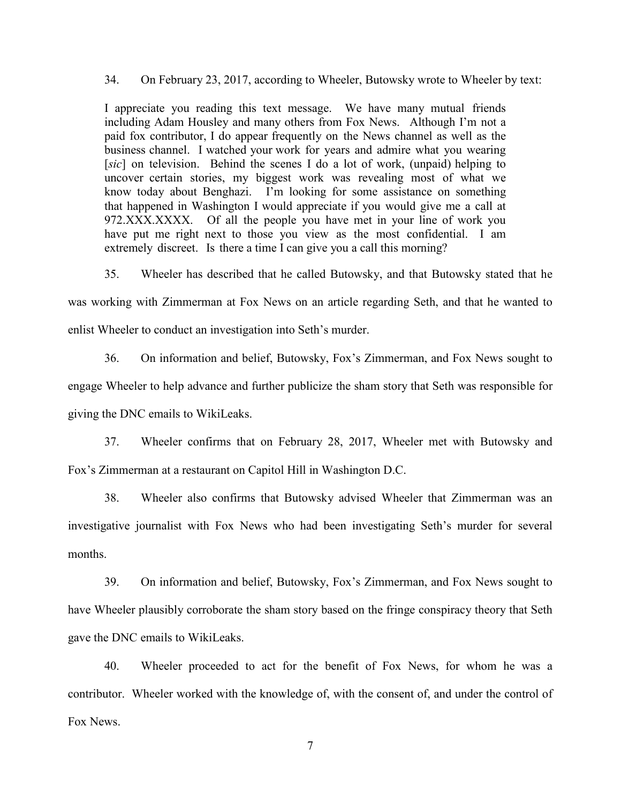34. On February 23, 2017, according to Wheeler, Butowsky wrote to Wheeler by text:

I appreciate you reading this text message. We have many mutual friends including Adam Housley and many others from Fox News. Although I'm not a paid fox contributor, I do appear frequently on the News channel as well as the business channel. I watched your work for years and admire what you wearing [*sic*] on television. Behind the scenes I do a lot of work, (unpaid) helping to uncover certain stories, my biggest work was revealing most of what we know today about Benghazi. I'm looking for some assistance on something that happened in Washington I would appreciate if you would give me a call at 972.XXX.XXXX. Of all the people you have met in your line of work you have put me right next to those you view as the most confidential. I am extremely discreet. Is there a time I can give you a call this morning?

35. Wheeler has described that he called Butowsky, and that Butowsky stated that he was working with Zimmerman at Fox News on an article regarding Seth, and that he wanted to

enlist Wheeler to conduct an investigation into Seth's murder.

36. On information and belief, Butowsky, Fox's Zimmerman, and Fox News sought to engage Wheeler to help advance and further publicize the sham story that Seth was responsible for giving the DNC emails to WikiLeaks.

37. Wheeler confirms that on February 28, 2017, Wheeler met with Butowsky and Fox's Zimmerman at a restaurant on Capitol Hill in Washington D.C.

38. Wheeler also confirms that Butowsky advised Wheeler that Zimmerman was an investigative journalist with Fox News who had been investigating Seth's murder for several months.

39. On information and belief, Butowsky, Fox's Zimmerman, and Fox News sought to have Wheeler plausibly corroborate the sham story based on the fringe conspiracy theory that Seth gave the DNC emails to WikiLeaks.

40. Wheeler proceeded to act for the benefit of Fox News, for whom he was a contributor. Wheeler worked with the knowledge of, with the consent of, and under the control of Fox News.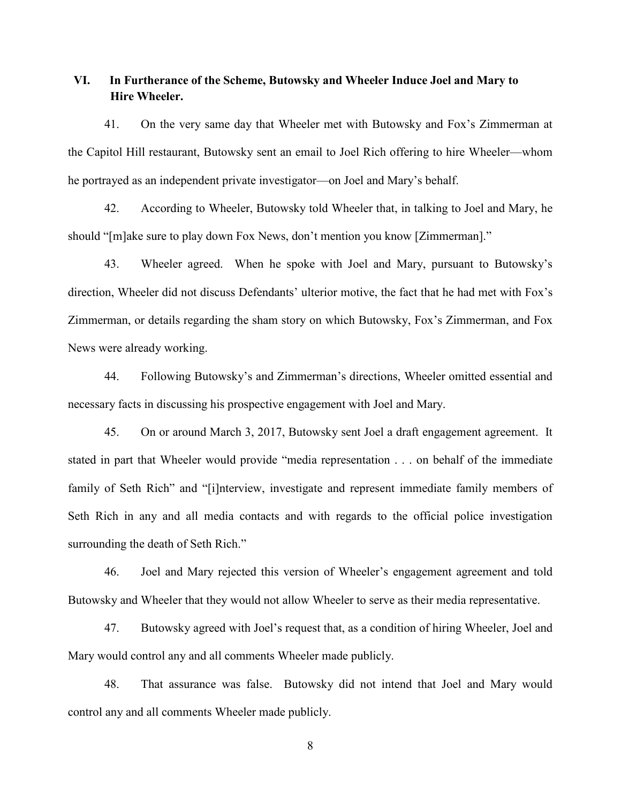# **VI. In Furtherance of the Scheme, Butowsky and Wheeler Induce Joel and Mary to Hire Wheeler.**

41. On the very same day that Wheeler met with Butowsky and Fox's Zimmerman at the Capitol Hill restaurant, Butowsky sent an email to Joel Rich offering to hire Wheeler—whom he portrayed as an independent private investigator—on Joel and Mary's behalf.

42. According to Wheeler, Butowsky told Wheeler that, in talking to Joel and Mary, he should "[m]ake sure to play down Fox News, don't mention you know [Zimmerman]."

43. Wheeler agreed. When he spoke with Joel and Mary, pursuant to Butowsky's direction, Wheeler did not discuss Defendants' ulterior motive, the fact that he had met with Fox's Zimmerman, or details regarding the sham story on which Butowsky, Fox's Zimmerman, and Fox News were already working.

44. Following Butowsky's and Zimmerman's directions, Wheeler omitted essential and necessary facts in discussing his prospective engagement with Joel and Mary.

45. On or around March 3, 2017, Butowsky sent Joel a draft engagement agreement. It stated in part that Wheeler would provide "media representation . . . on behalf of the immediate family of Seth Rich" and "[i]nterview, investigate and represent immediate family members of Seth Rich in any and all media contacts and with regards to the official police investigation surrounding the death of Seth Rich."

46. Joel and Mary rejected this version of Wheeler's engagement agreement and told Butowsky and Wheeler that they would not allow Wheeler to serve as their media representative.

47. Butowsky agreed with Joel's request that, as a condition of hiring Wheeler, Joel and Mary would control any and all comments Wheeler made publicly.

48. That assurance was false. Butowsky did not intend that Joel and Mary would control any and all comments Wheeler made publicly.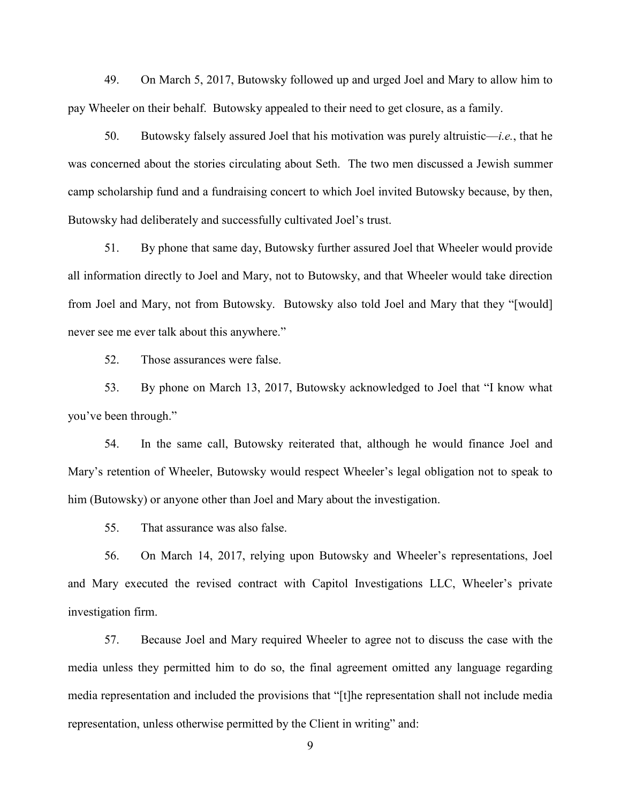49. On March 5, 2017, Butowsky followed up and urged Joel and Mary to allow him to pay Wheeler on their behalf. Butowsky appealed to their need to get closure, as a family.

50. Butowsky falsely assured Joel that his motivation was purely altruistic—*i.e.*, that he was concerned about the stories circulating about Seth. The two men discussed a Jewish summer camp scholarship fund and a fundraising concert to which Joel invited Butowsky because, by then, Butowsky had deliberately and successfully cultivated Joel's trust.

51. By phone that same day, Butowsky further assured Joel that Wheeler would provide all information directly to Joel and Mary, not to Butowsky, and that Wheeler would take direction from Joel and Mary, not from Butowsky. Butowsky also told Joel and Mary that they "[would] never see me ever talk about this anywhere."

52. Those assurances were false.

53. By phone on March 13, 2017, Butowsky acknowledged to Joel that "I know what you've been through."

54. In the same call, Butowsky reiterated that, although he would finance Joel and Mary's retention of Wheeler, Butowsky would respect Wheeler's legal obligation not to speak to him (Butowsky) or anyone other than Joel and Mary about the investigation.

55. That assurance was also false.

56. On March 14, 2017, relying upon Butowsky and Wheeler's representations, Joel and Mary executed the revised contract with Capitol Investigations LLC, Wheeler's private investigation firm.

57. Because Joel and Mary required Wheeler to agree not to discuss the case with the media unless they permitted him to do so, the final agreement omitted any language regarding media representation and included the provisions that "[t]he representation shall not include media representation, unless otherwise permitted by the Client in writing" and: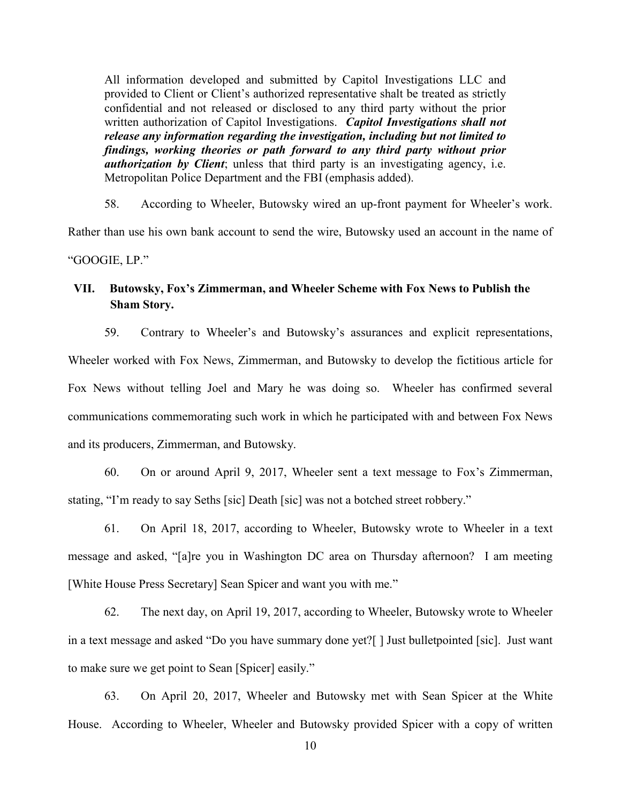All information developed and submitted by Capitol Investigations LLC and provided to Client or Client's authorized representative shalt be treated as strictly confidential and not released or disclosed to any third party without the prior written authorization of Capitol Investigations. *Capitol Investigations shall not release any information regarding the investigation, including but not limited to findings, working theories or path forward to any third party without prior authorization by Client*; unless that third party is an investigating agency, i.e. Metropolitan Police Department and the FBI (emphasis added).

58. According to Wheeler, Butowsky wired an up-front payment for Wheeler's work. Rather than use his own bank account to send the wire, Butowsky used an account in the name of "GOOGIE, LP."

# **VII. Butowsky, Fox's Zimmerman, and Wheeler Scheme with Fox News to Publish the Sham Story.**

59. Contrary to Wheeler's and Butowsky's assurances and explicit representations, Wheeler worked with Fox News, Zimmerman, and Butowsky to develop the fictitious article for Fox News without telling Joel and Mary he was doing so. Wheeler has confirmed several communications commemorating such work in which he participated with and between Fox News and its producers, Zimmerman, and Butowsky.

60. On or around April 9, 2017, Wheeler sent a text message to Fox's Zimmerman, stating, "I'm ready to say Seths [sic] Death [sic] was not a botched street robbery."

61. On April 18, 2017, according to Wheeler, Butowsky wrote to Wheeler in a text message and asked, "[a]re you in Washington DC area on Thursday afternoon? I am meeting [White House Press Secretary] Sean Spicer and want you with me."

62. The next day, on April 19, 2017, according to Wheeler, Butowsky wrote to Wheeler in a text message and asked "Do you have summary done yet?[ ] Just bulletpointed [sic]. Just want to make sure we get point to Sean [Spicer] easily."

63. On April 20, 2017, Wheeler and Butowsky met with Sean Spicer at the White House. According to Wheeler, Wheeler and Butowsky provided Spicer with a copy of written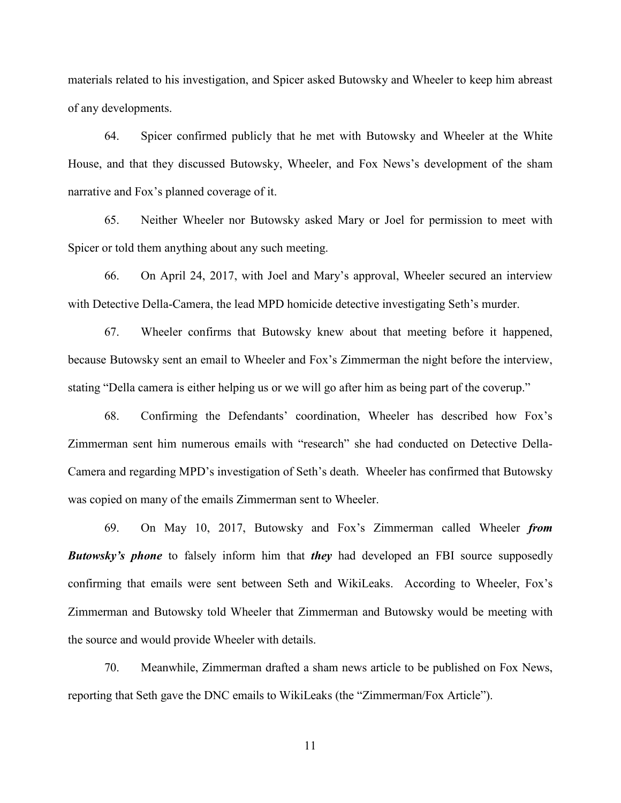materials related to his investigation, and Spicer asked Butowsky and Wheeler to keep him abreast of any developments.

64. Spicer confirmed publicly that he met with Butowsky and Wheeler at the White House, and that they discussed Butowsky, Wheeler, and Fox News's development of the sham narrative and Fox's planned coverage of it.

65. Neither Wheeler nor Butowsky asked Mary or Joel for permission to meet with Spicer or told them anything about any such meeting.

66. On April 24, 2017, with Joel and Mary's approval, Wheeler secured an interview with Detective Della-Camera, the lead MPD homicide detective investigating Seth's murder.

67. Wheeler confirms that Butowsky knew about that meeting before it happened, because Butowsky sent an email to Wheeler and Fox's Zimmerman the night before the interview, stating "Della camera is either helping us or we will go after him as being part of the coverup."

68. Confirming the Defendants' coordination, Wheeler has described how Fox's Zimmerman sent him numerous emails with "research" she had conducted on Detective Della-Camera and regarding MPD's investigation of Seth's death. Wheeler has confirmed that Butowsky was copied on many of the emails Zimmerman sent to Wheeler.

69. On May 10, 2017, Butowsky and Fox's Zimmerman called Wheeler *from Butowsky's phone* to falsely inform him that *they* had developed an FBI source supposedly confirming that emails were sent between Seth and WikiLeaks. According to Wheeler, Fox's Zimmerman and Butowsky told Wheeler that Zimmerman and Butowsky would be meeting with the source and would provide Wheeler with details.

70. Meanwhile, Zimmerman drafted a sham news article to be published on Fox News, reporting that Seth gave the DNC emails to WikiLeaks (the "Zimmerman/Fox Article").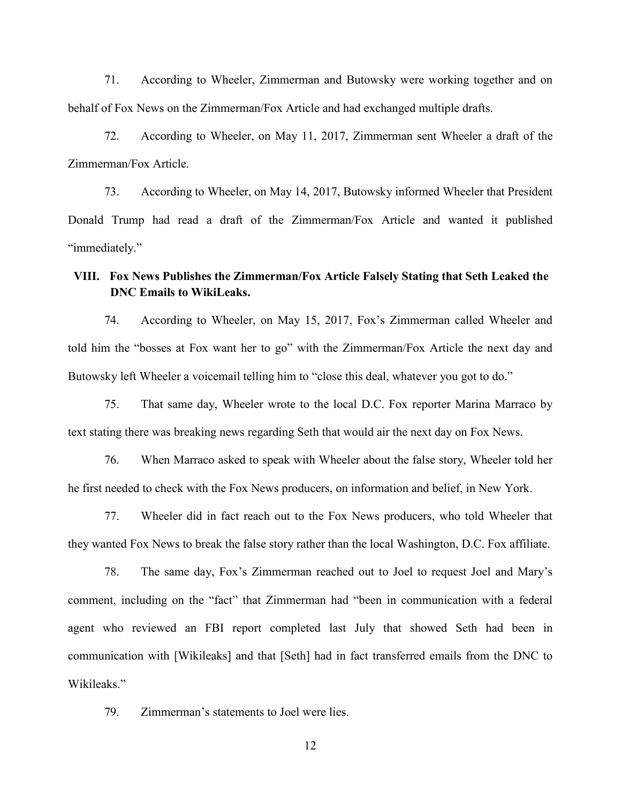71. According to Wheeler, Zimmerman and Butowsky were working together and on behalf of Fox News on the Zimmerman/Fox Article and had exchanged multiple drafts.

72. According to Wheeler, on May 11, 2017, Zimmerman sent Wheeler a draft of the Zimmerman/Fox Article.

73. According to Wheeler, on May 14, 2017, Butowsky informed Wheeler that President Donald Trump had read a draft of the Zimmerman/Fox Article and wanted it published "immediately."

# **VIII. Fox News Publishes the Zimmerman/Fox Article Falsely Stating that Seth Leaked the DNC Emails to WikiLeaks.**

74. According to Wheeler, on May 15, 2017, Fox's Zimmerman called Wheeler and told him the "bosses at Fox want her to go" with the Zimmerman/Fox Article the next day and Butowsky left Wheeler a voicemail telling him to "close this deal, whatever you got to do."

75. That same day, Wheeler wrote to the local D.C. Fox reporter Marina Marraco by text stating there was breaking news regarding Seth that would air the next day on Fox News.

76. When Marraco asked to speak with Wheeler about the false story, Wheeler told her he first needed to check with the Fox News producers, on information and belief, in New York.

77. Wheeler did in fact reach out to the Fox News producers, who told Wheeler that they wanted Fox News to break the false story rather than the local Washington, D.C. Fox affiliate.

78. The same day, Fox's Zimmerman reached out to Joel to request Joel and Mary's comment, including on the "fact" that Zimmerman had "been in communication with a federal agent who reviewed an FBI report completed last July that showed Seth had been in communication with [Wikileaks] and that [Seth] had in fact transferred emails from the DNC to Wikileaks."

79. Zimmerman's statements to Joel were lies.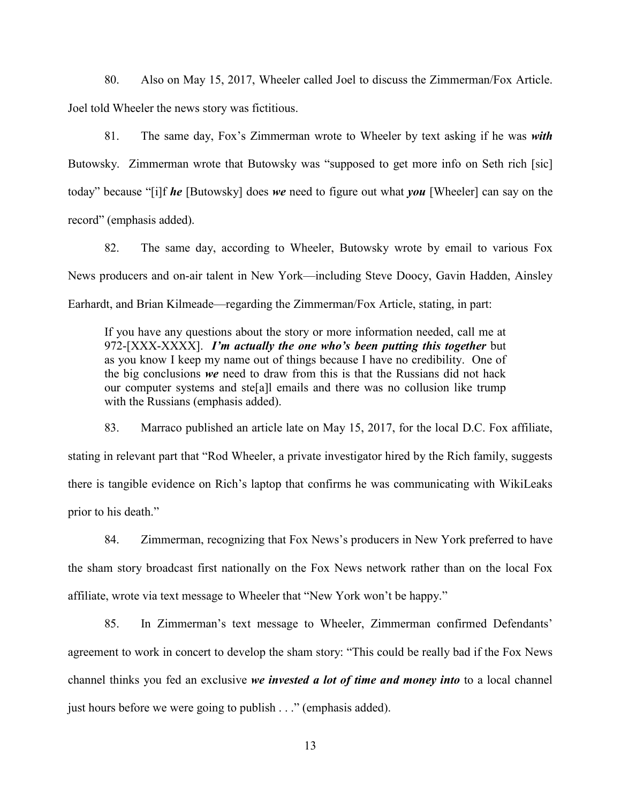80. Also on May 15, 2017, Wheeler called Joel to discuss the Zimmerman/Fox Article. Joel told Wheeler the news story was fictitious.

81. The same day, Fox's Zimmerman wrote to Wheeler by text asking if he was *with* Butowsky. Zimmerman wrote that Butowsky was "supposed to get more info on Seth rich [sic] today" because "[i]f *he* [Butowsky] does *we* need to figure out what *you* [Wheeler] can say on the record" (emphasis added).

82. The same day, according to Wheeler, Butowsky wrote by email to various Fox News producers and on-air talent in New York—including Steve Doocy, Gavin Hadden, Ainsley Earhardt, and Brian Kilmeade—regarding the Zimmerman/Fox Article, stating, in part:

If you have any questions about the story or more information needed, call me at 972-[XXX-XXXX]. *I'm actually the one who's been putting this together* but as you know I keep my name out of things because I have no credibility. One of the big conclusions *we* need to draw from this is that the Russians did not hack our computer systems and ste[a]l emails and there was no collusion like trump with the Russians (emphasis added).

83. Marraco published an article late on May 15, 2017, for the local D.C. Fox affiliate, stating in relevant part that "Rod Wheeler, a private investigator hired by the Rich family, suggests there is tangible evidence on Rich's laptop that confirms he was communicating with WikiLeaks prior to his death."

84. Zimmerman, recognizing that Fox News's producers in New York preferred to have the sham story broadcast first nationally on the Fox News network rather than on the local Fox affiliate, wrote via text message to Wheeler that "New York won't be happy."

85. In Zimmerman's text message to Wheeler, Zimmerman confirmed Defendants' agreement to work in concert to develop the sham story: "This could be really bad if the Fox News channel thinks you fed an exclusive *we invested a lot of time and money into* to a local channel just hours before we were going to publish . . ." (emphasis added).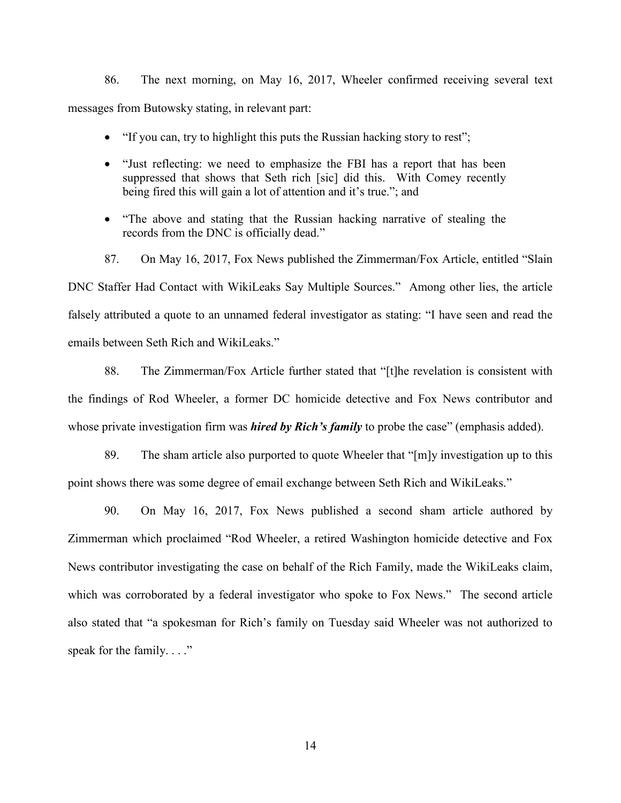86. The next morning, on May 16, 2017, Wheeler confirmed receiving several text messages from Butowsky stating, in relevant part:

- "If you can, try to highlight this puts the Russian hacking story to rest";
- "Just reflecting: we need to emphasize the FBI has a report that has been suppressed that shows that Seth rich [sic] did this. With Comey recently being fired this will gain a lot of attention and it's true."; and
- "The above and stating that the Russian hacking narrative of stealing the records from the DNC is officially dead."

87. On May 16, 2017, Fox News published the Zimmerman/Fox Article, entitled "Slain DNC Staffer Had Contact with WikiLeaks Say Multiple Sources." Among other lies, the article falsely attributed a quote to an unnamed federal investigator as stating: "I have seen and read the emails between Seth Rich and WikiLeaks."

88. The Zimmerman/Fox Article further stated that "[t]he revelation is consistent with the findings of Rod Wheeler, a former DC homicide detective and Fox News contributor and whose private investigation firm was *hired by Rich's family* to probe the case" (emphasis added).

89. The sham article also purported to quote Wheeler that "[m]y investigation up to this point shows there was some degree of email exchange between Seth Rich and WikiLeaks."

90. On May 16, 2017, Fox News published a second sham article authored by Zimmerman which proclaimed "Rod Wheeler, a retired Washington homicide detective and Fox News contributor investigating the case on behalf of the Rich Family, made the WikiLeaks claim, which was corroborated by a federal investigator who spoke to Fox News." The second article also stated that "a spokesman for Rich's family on Tuesday said Wheeler was not authorized to speak for the family. . . ."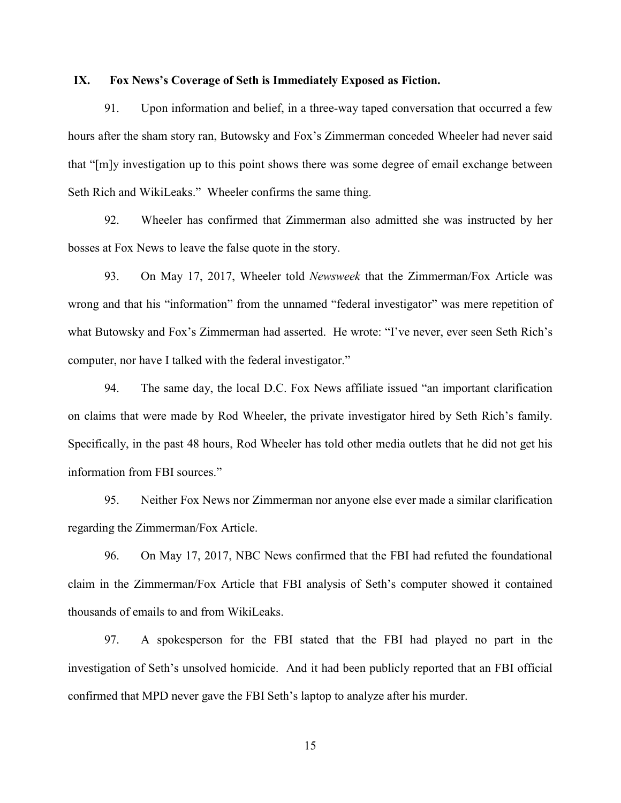#### **IX. Fox News's Coverage of Seth is Immediately Exposed as Fiction.**

91. Upon information and belief, in a three-way taped conversation that occurred a few hours after the sham story ran, Butowsky and Fox's Zimmerman conceded Wheeler had never said that "[m]y investigation up to this point shows there was some degree of email exchange between Seth Rich and WikiLeaks." Wheeler confirms the same thing.

92. Wheeler has confirmed that Zimmerman also admitted she was instructed by her bosses at Fox News to leave the false quote in the story.

93. On May 17, 2017, Wheeler told *Newsweek* that the Zimmerman/Fox Article was wrong and that his "information" from the unnamed "federal investigator" was mere repetition of what Butowsky and Fox's Zimmerman had asserted. He wrote: "I've never, ever seen Seth Rich's computer, nor have I talked with the federal investigator."

94. The same day, the local D.C. Fox News affiliate issued "an important clarification on claims that were made by Rod Wheeler, the private investigator hired by Seth Rich's family. Specifically, in the past 48 hours, Rod Wheeler has told other media outlets that he did not get his information from FBI sources."

95. Neither Fox News nor Zimmerman nor anyone else ever made a similar clarification regarding the Zimmerman/Fox Article.

96. On May 17, 2017, NBC News confirmed that the FBI had refuted the foundational claim in the Zimmerman/Fox Article that FBI analysis of Seth's computer showed it contained thousands of emails to and from WikiLeaks.

97. A spokesperson for the FBI stated that the FBI had played no part in the investigation of Seth's unsolved homicide. And it had been publicly reported that an FBI official confirmed that MPD never gave the FBI Seth's laptop to analyze after his murder.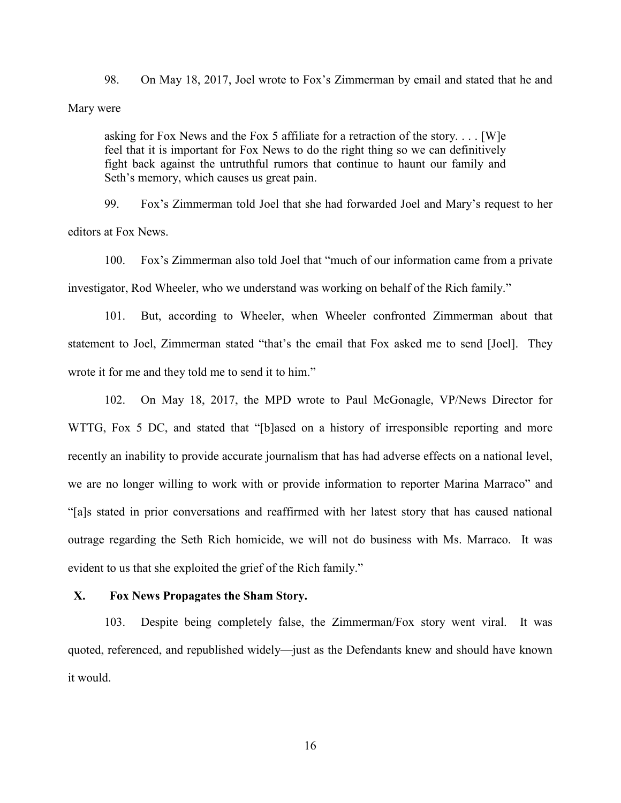98. On May 18, 2017, Joel wrote to Fox's Zimmerman by email and stated that he and Mary were

asking for Fox News and the Fox 5 affiliate for a retraction of the story. . . . [W]e feel that it is important for Fox News to do the right thing so we can definitively fight back against the untruthful rumors that continue to haunt our family and Seth's memory, which causes us great pain.

99. Fox's Zimmerman told Joel that she had forwarded Joel and Mary's request to her editors at Fox News.

100. Fox's Zimmerman also told Joel that "much of our information came from a private investigator, Rod Wheeler, who we understand was working on behalf of the Rich family."

101. But, according to Wheeler, when Wheeler confronted Zimmerman about that statement to Joel, Zimmerman stated "that's the email that Fox asked me to send [Joel]. They wrote it for me and they told me to send it to him."

102. On May 18, 2017, the MPD wrote to Paul McGonagle, VP/News Director for WTTG, Fox 5 DC, and stated that "[b]ased on a history of irresponsible reporting and more recently an inability to provide accurate journalism that has had adverse effects on a national level, we are no longer willing to work with or provide information to reporter Marina Marraco" and "[a]s stated in prior conversations and reaffirmed with her latest story that has caused national outrage regarding the Seth Rich homicide, we will not do business with Ms. Marraco. It was evident to us that she exploited the grief of the Rich family."

#### **X. Fox News Propagates the Sham Story.**

103. Despite being completely false, the Zimmerman/Fox story went viral. It was quoted, referenced, and republished widely—just as the Defendants knew and should have known it would.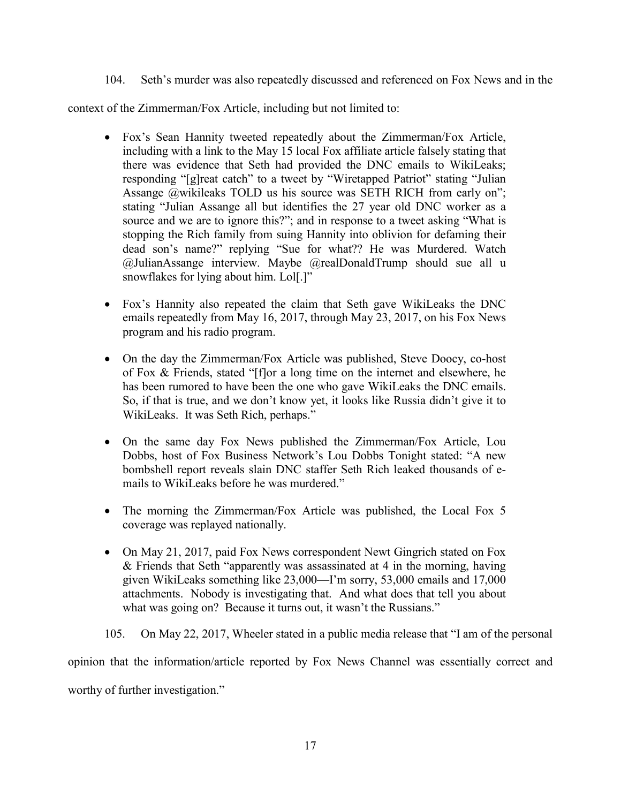104. Seth's murder was also repeatedly discussed and referenced on Fox News and in the

context of the Zimmerman/Fox Article, including but not limited to:

- Fox's Sean Hannity tweeted repeatedly about the Zimmerman/Fox Article, including with a link to the May 15 local Fox affiliate article falsely stating that there was evidence that Seth had provided the DNC emails to WikiLeaks; responding "[g]reat catch" to a tweet by "Wiretapped Patriot" stating "Julian Assange @wikileaks TOLD us his source was SETH RICH from early on"; stating "Julian Assange all but identifies the 27 year old DNC worker as a source and we are to ignore this?"; and in response to a tweet asking "What is stopping the Rich family from suing Hannity into oblivion for defaming their dead son's name?" replying "Sue for what?? He was Murdered. Watch @JulianAssange interview. Maybe @realDonaldTrump should sue all u snowflakes for lying about him. Lol[.]"
- Fox's Hannity also repeated the claim that Seth gave WikiLeaks the DNC emails repeatedly from May 16, 2017, through May 23, 2017, on his Fox News program and his radio program.
- On the day the Zimmerman/Fox Article was published, Steve Doocy, co-host of Fox & Friends, stated "[f]or a long time on the internet and elsewhere, he has been rumored to have been the one who gave WikiLeaks the DNC emails. So, if that is true, and we don't know yet, it looks like Russia didn't give it to WikiLeaks. It was Seth Rich, perhaps."
- On the same day Fox News published the Zimmerman/Fox Article, Lou Dobbs, host of Fox Business Network's Lou Dobbs Tonight stated: "A new bombshell report reveals slain DNC staffer Seth Rich leaked thousands of emails to WikiLeaks before he was murdered."
- The morning the Zimmerman/Fox Article was published, the Local Fox 5 coverage was replayed nationally.
- On May 21, 2017, paid Fox News correspondent Newt Gingrich stated on Fox & Friends that Seth "apparently was assassinated at 4 in the morning, having given WikiLeaks something like 23,000—I'm sorry, 53,000 emails and 17,000 attachments. Nobody is investigating that. And what does that tell you about what was going on? Because it turns out, it wasn't the Russians."

105. On May 22, 2017, Wheeler stated in a public media release that "I am of the personal opinion that the information/article reported by Fox News Channel was essentially correct and worthy of further investigation."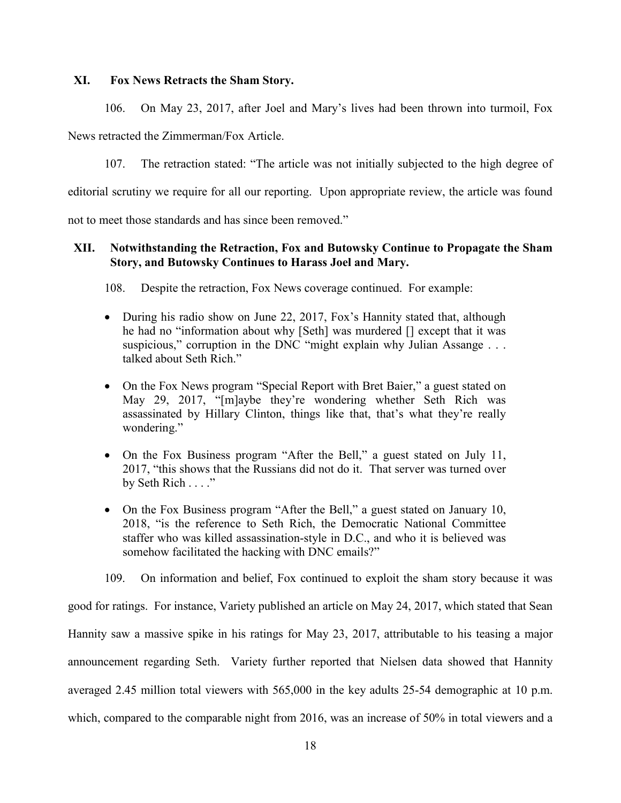### **XI. Fox News Retracts the Sham Story.**

106. On May 23, 2017, after Joel and Mary's lives had been thrown into turmoil, Fox

News retracted the Zimmerman/Fox Article.

107. The retraction stated: "The article was not initially subjected to the high degree of

editorial scrutiny we require for all our reporting. Upon appropriate review, the article was found

not to meet those standards and has since been removed."

## **XII. Notwithstanding the Retraction, Fox and Butowsky Continue to Propagate the Sham Story, and Butowsky Continues to Harass Joel and Mary.**

108. Despite the retraction, Fox News coverage continued. For example:

- During his radio show on June 22, 2017, Fox's Hannity stated that, although he had no "information about why [Seth] was murdered [] except that it was suspicious," corruption in the DNC "might explain why Julian Assange . . . talked about Seth Rich."
- On the Fox News program "Special Report with Bret Baier," a guest stated on May 29, 2017, "[m]aybe they're wondering whether Seth Rich was assassinated by Hillary Clinton, things like that, that's what they're really wondering."
- On the Fox Business program "After the Bell," a guest stated on July 11, 2017, "this shows that the Russians did not do it. That server was turned over by Seth Rich . . . ."
- On the Fox Business program "After the Bell," a guest stated on January 10, 2018, "is the reference to Seth Rich, the Democratic National Committee staffer who was killed assassination-style in D.C., and who it is believed was somehow facilitated the hacking with DNC emails?"

109. On information and belief, Fox continued to exploit the sham story because it was

good for ratings. For instance, Variety published an article on May 24, 2017, which stated that Sean Hannity saw a massive spike in his ratings for May 23, 2017, attributable to his teasing a major announcement regarding Seth. Variety further reported that Nielsen data showed that Hannity averaged 2.45 million total viewers with 565,000 in the key adults 25-54 demographic at 10 p.m. which, compared to the comparable night from 2016, was an increase of 50% in total viewers and a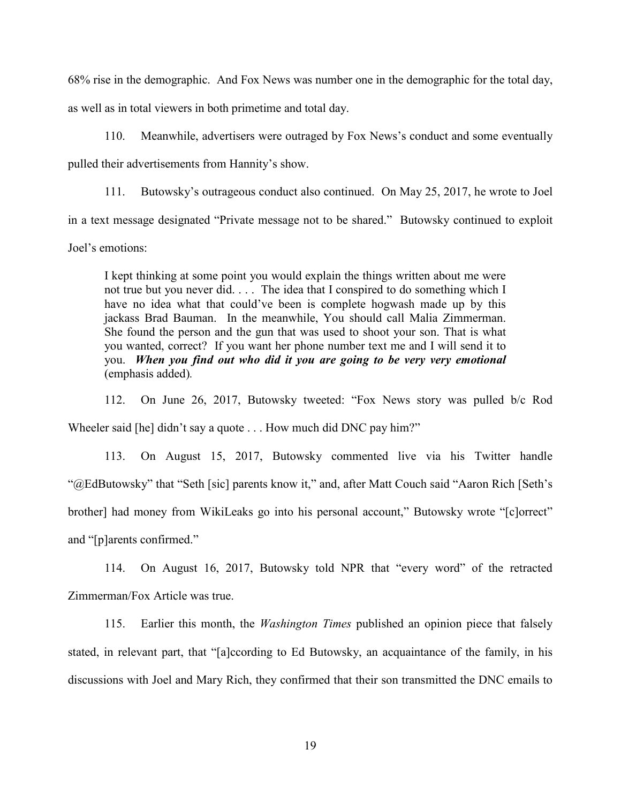68% rise in the demographic. And Fox News was number one in the demographic for the total day,

as well as in total viewers in both primetime and total day.

110. Meanwhile, advertisers were outraged by Fox News's conduct and some eventually

pulled their advertisements from Hannity's show.

111. Butowsky's outrageous conduct also continued. On May 25, 2017, he wrote to Joel

in a text message designated "Private message not to be shared." Butowsky continued to exploit

Joel's emotions:

I kept thinking at some point you would explain the things written about me were not true but you never did. . . . The idea that I conspired to do something which I have no idea what that could've been is complete hogwash made up by this jackass Brad Bauman. In the meanwhile, You should call Malia Zimmerman. She found the person and the gun that was used to shoot your son. That is what you wanted, correct? If you want her phone number text me and I will send it to you. *When you find out who did it you are going to be very very emotional* (emphasis added)*.*

112. On June 26, 2017, Butowsky tweeted: "Fox News story was pulled b/c Rod Wheeler said [he] didn't say a quote . . . How much did DNC pay him?"

113. On August 15, 2017, Butowsky commented live via his Twitter handle "@EdButowsky" that "Seth [sic] parents know it," and, after Matt Couch said "Aaron Rich [Seth's brother] had money from WikiLeaks go into his personal account," Butowsky wrote "[c]orrect" and "[p]arents confirmed."

114. On August 16, 2017, Butowsky told NPR that "every word" of the retracted Zimmerman/Fox Article was true.

115. Earlier this month, the *Washington Times* published an opinion piece that falsely stated, in relevant part, that "[a]ccording to Ed Butowsky, an acquaintance of the family, in his discussions with Joel and Mary Rich, they confirmed that their son transmitted the DNC emails to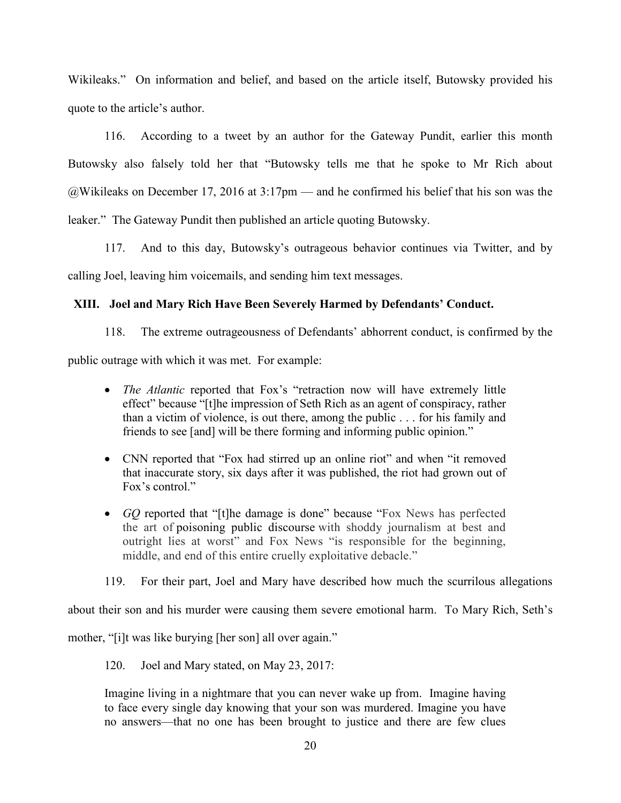Wikileaks." On information and belief, and based on the article itself, Butowsky provided his quote to the article's author.

116. According to a tweet by an author for the Gateway Pundit, earlier this month Butowsky also falsely told her that "Butowsky tells me that he spoke to Mr Rich about @Wikileaks on December 17, 2016 at 3:17pm — and he confirmed his belief that his son was the leaker." The Gateway Pundit then published an article quoting Butowsky.

117. And to this day, Butowsky's outrageous behavior continues via Twitter, and by calling Joel, leaving him voicemails, and sending him text messages.

## **XIII. Joel and Mary Rich Have Been Severely Harmed by Defendants' Conduct.**

118. The extreme outrageousness of Defendants' abhorrent conduct, is confirmed by the

public outrage with which it was met. For example:

- *The Atlantic reported that Fox's* "retraction now will have extremely little effect" because "[t]he impression of Seth Rich as an agent of conspiracy, rather than a victim of violence, is out there, among the public . . . for his family and friends to see [and] will be there forming and informing public opinion."
- CNN reported that "Fox had stirred up an online riot" and when "it removed that inaccurate story, six days after it was published, the riot had grown out of Fox's control."
- *GQ* reported that "[t]he damage is done" because "Fox News has perfected the art of poisoning public discourse with shoddy journalism at best and outright lies at worst" and Fox News "is responsible for the beginning, middle, and end of this entire cruelly exploitative debacle."

119. For their part, Joel and Mary have described how much the scurrilous allegations

about their son and his murder were causing them severe emotional harm. To Mary Rich, Seth's

mother, "[i]t was like burying [her son] all over again."

120. Joel and Mary stated, on May 23, 2017:

Imagine living in a nightmare that you can never wake up from. Imagine having to face every single day knowing that your son was murdered. Imagine you have no answers—that no one has been brought to justice and there are few clues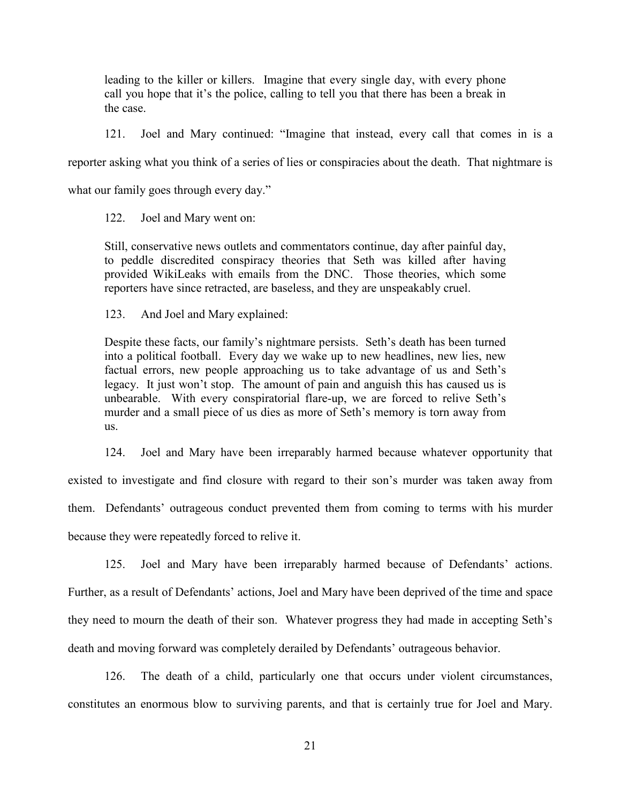leading to the killer or killers. Imagine that every single day, with every phone call you hope that it's the police, calling to tell you that there has been a break in the case.

121. Joel and Mary continued: "Imagine that instead, every call that comes in is a reporter asking what you think of a series of lies or conspiracies about the death. That nightmare is

what our family goes through every day."

122. Joel and Mary went on:

Still, conservative news outlets and commentators continue, day after painful day, to peddle discredited conspiracy theories that Seth was killed after having provided WikiLeaks with emails from the DNC. Those theories, which some reporters have since retracted, are baseless, and they are unspeakably cruel.

123. And Joel and Mary explained:

Despite these facts, our family's nightmare persists. Seth's death has been turned into a political football. Every day we wake up to new headlines, new lies, new factual errors, new people approaching us to take advantage of us and Seth's legacy. It just won't stop. The amount of pain and anguish this has caused us is unbearable. With every conspiratorial flare-up, we are forced to relive Seth's murder and a small piece of us dies as more of Seth's memory is torn away from us.

124. Joel and Mary have been irreparably harmed because whatever opportunity that

existed to investigate and find closure with regard to their son's murder was taken away from them. Defendants' outrageous conduct prevented them from coming to terms with his murder because they were repeatedly forced to relive it.

125. Joel and Mary have been irreparably harmed because of Defendants' actions. Further, as a result of Defendants' actions, Joel and Mary have been deprived of the time and space they need to mourn the death of their son. Whatever progress they had made in accepting Seth's death and moving forward was completely derailed by Defendants' outrageous behavior.

126. The death of a child, particularly one that occurs under violent circumstances, constitutes an enormous blow to surviving parents, and that is certainly true for Joel and Mary.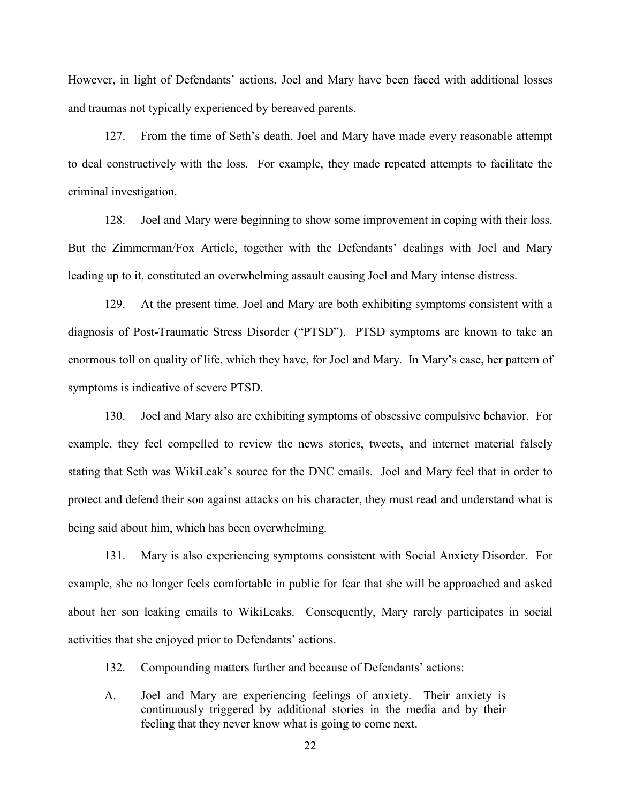However, in light of Defendants' actions, Joel and Mary have been faced with additional losses and traumas not typically experienced by bereaved parents.

127. From the time of Seth's death, Joel and Mary have made every reasonable attempt to deal constructively with the loss. For example, they made repeated attempts to facilitate the criminal investigation.

128. Joel and Mary were beginning to show some improvement in coping with their loss. But the Zimmerman/Fox Article, together with the Defendants' dealings with Joel and Mary leading up to it, constituted an overwhelming assault causing Joel and Mary intense distress.

129. At the present time, Joel and Mary are both exhibiting symptoms consistent with a diagnosis of Post-Traumatic Stress Disorder ("PTSD"). PTSD symptoms are known to take an enormous toll on quality of life, which they have, for Joel and Mary. In Mary's case, her pattern of symptoms is indicative of severe PTSD.

130. Joel and Mary also are exhibiting symptoms of obsessive compulsive behavior. For example, they feel compelled to review the news stories, tweets, and internet material falsely stating that Seth was WikiLeak's source for the DNC emails. Joel and Mary feel that in order to protect and defend their son against attacks on his character, they must read and understand what is being said about him, which has been overwhelming.

131. Mary is also experiencing symptoms consistent with Social Anxiety Disorder. For example, she no longer feels comfortable in public for fear that she will be approached and asked about her son leaking emails to WikiLeaks. Consequently, Mary rarely participates in social activities that she enjoyed prior to Defendants' actions.

132. Compounding matters further and because of Defendants' actions:

A. Joel and Mary are experiencing feelings of anxiety. Their anxiety is continuously triggered by additional stories in the media and by their feeling that they never know what is going to come next.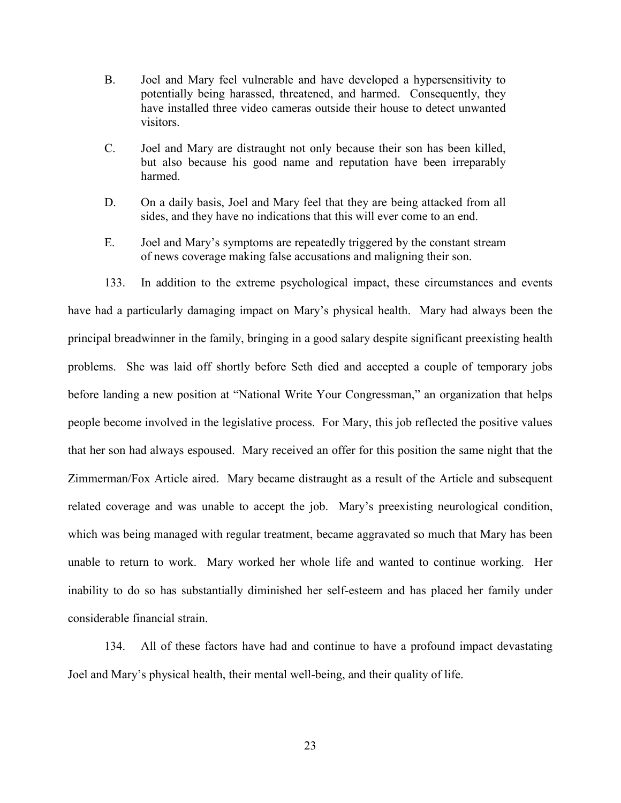- B. Joel and Mary feel vulnerable and have developed a hypersensitivity to potentially being harassed, threatened, and harmed. Consequently, they have installed three video cameras outside their house to detect unwanted visitors.
- C. Joel and Mary are distraught not only because their son has been killed, but also because his good name and reputation have been irreparably harmed.
- D. On a daily basis, Joel and Mary feel that they are being attacked from all sides, and they have no indications that this will ever come to an end.
- E. Joel and Mary's symptoms are repeatedly triggered by the constant stream of news coverage making false accusations and maligning their son.
- 133. In addition to the extreme psychological impact, these circumstances and events

have had a particularly damaging impact on Mary's physical health. Mary had always been the principal breadwinner in the family, bringing in a good salary despite significant preexisting health problems. She was laid off shortly before Seth died and accepted a couple of temporary jobs before landing a new position at "National Write Your Congressman," an organization that helps people become involved in the legislative process. For Mary, this job reflected the positive values that her son had always espoused. Mary received an offer for this position the same night that the Zimmerman/Fox Article aired. Mary became distraught as a result of the Article and subsequent related coverage and was unable to accept the job. Mary's preexisting neurological condition, which was being managed with regular treatment, became aggravated so much that Mary has been unable to return to work. Mary worked her whole life and wanted to continue working. Her inability to do so has substantially diminished her self-esteem and has placed her family under considerable financial strain.

134. All of these factors have had and continue to have a profound impact devastating Joel and Mary's physical health, their mental well-being, and their quality of life.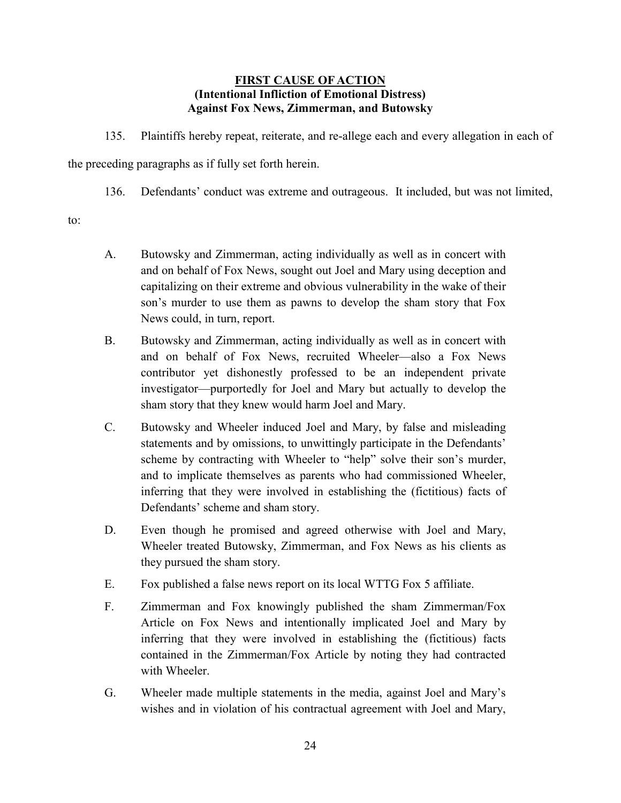## **FIRST CAUSE OF ACTION (Intentional Infliction of Emotional Distress) Against Fox News, Zimmerman, and Butowsky**

135. Plaintiffs hereby repeat, reiterate, and re-allege each and every allegation in each of

the preceding paragraphs as if fully set forth herein.

136. Defendants' conduct was extreme and outrageous. It included, but was not limited,

to:

- A. Butowsky and Zimmerman, acting individually as well as in concert with and on behalf of Fox News, sought out Joel and Mary using deception and capitalizing on their extreme and obvious vulnerability in the wake of their son's murder to use them as pawns to develop the sham story that Fox News could, in turn, report.
- B. Butowsky and Zimmerman, acting individually as well as in concert with and on behalf of Fox News, recruited Wheeler—also a Fox News contributor yet dishonestly professed to be an independent private investigator—purportedly for Joel and Mary but actually to develop the sham story that they knew would harm Joel and Mary.
- C. Butowsky and Wheeler induced Joel and Mary, by false and misleading statements and by omissions, to unwittingly participate in the Defendants' scheme by contracting with Wheeler to "help" solve their son's murder, and to implicate themselves as parents who had commissioned Wheeler, inferring that they were involved in establishing the (fictitious) facts of Defendants' scheme and sham story.
- D. Even though he promised and agreed otherwise with Joel and Mary, Wheeler treated Butowsky, Zimmerman, and Fox News as his clients as they pursued the sham story.
- E. Fox published a false news report on its local WTTG Fox 5 affiliate.
- F. Zimmerman and Fox knowingly published the sham Zimmerman/Fox Article on Fox News and intentionally implicated Joel and Mary by inferring that they were involved in establishing the (fictitious) facts contained in the Zimmerman/Fox Article by noting they had contracted with Wheeler.
- G. Wheeler made multiple statements in the media, against Joel and Mary's wishes and in violation of his contractual agreement with Joel and Mary,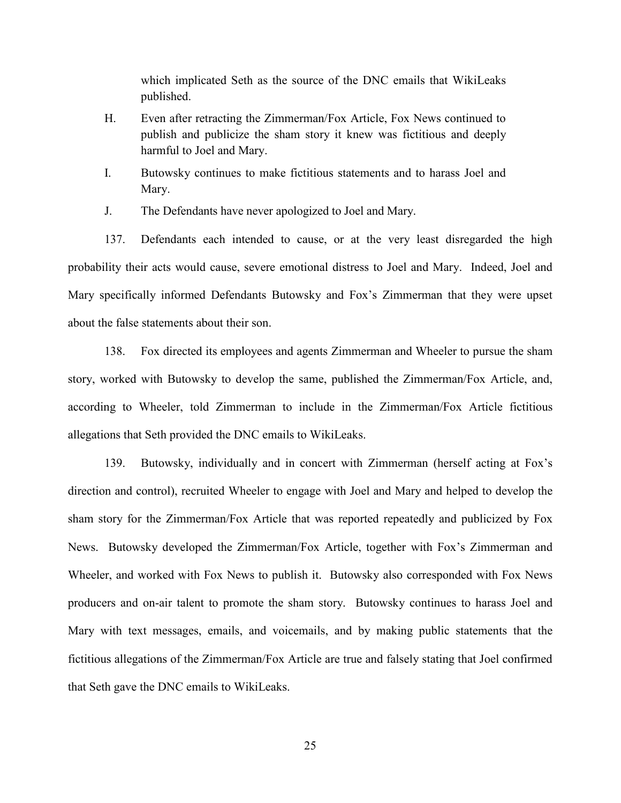which implicated Seth as the source of the DNC emails that WikiLeaks published.

- H. Even after retracting the Zimmerman/Fox Article, Fox News continued to publish and publicize the sham story it knew was fictitious and deeply harmful to Joel and Mary.
- I. Butowsky continues to make fictitious statements and to harass Joel and Mary.
- J. The Defendants have never apologized to Joel and Mary.

137. Defendants each intended to cause, or at the very least disregarded the high probability their acts would cause, severe emotional distress to Joel and Mary. Indeed, Joel and Mary specifically informed Defendants Butowsky and Fox's Zimmerman that they were upset about the false statements about their son.

138. Fox directed its employees and agents Zimmerman and Wheeler to pursue the sham story, worked with Butowsky to develop the same, published the Zimmerman/Fox Article, and, according to Wheeler, told Zimmerman to include in the Zimmerman/Fox Article fictitious allegations that Seth provided the DNC emails to WikiLeaks.

139. Butowsky, individually and in concert with Zimmerman (herself acting at Fox's direction and control), recruited Wheeler to engage with Joel and Mary and helped to develop the sham story for the Zimmerman/Fox Article that was reported repeatedly and publicized by Fox News. Butowsky developed the Zimmerman/Fox Article, together with Fox's Zimmerman and Wheeler, and worked with Fox News to publish it. Butowsky also corresponded with Fox News producers and on-air talent to promote the sham story. Butowsky continues to harass Joel and Mary with text messages, emails, and voicemails, and by making public statements that the fictitious allegations of the Zimmerman/Fox Article are true and falsely stating that Joel confirmed that Seth gave the DNC emails to WikiLeaks.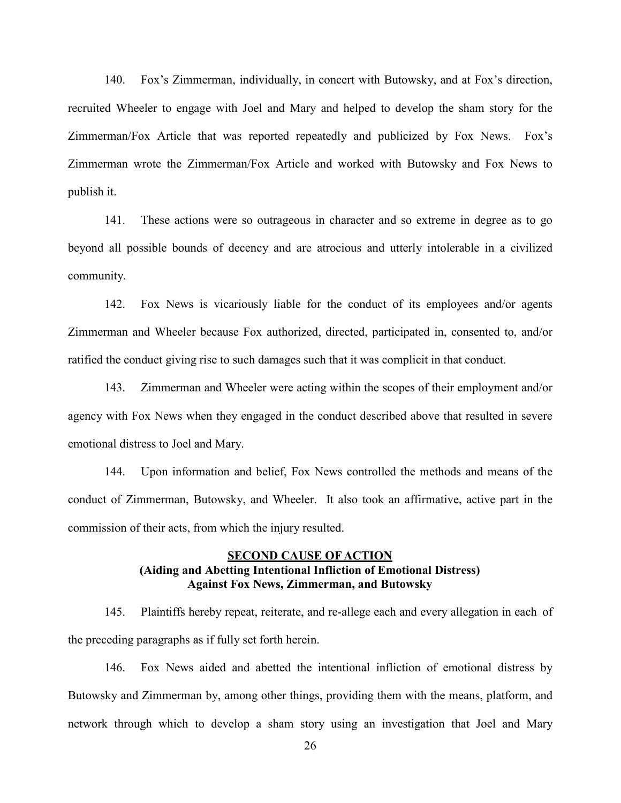140. Fox's Zimmerman, individually, in concert with Butowsky, and at Fox's direction, recruited Wheeler to engage with Joel and Mary and helped to develop the sham story for the Zimmerman/Fox Article that was reported repeatedly and publicized by Fox News. Fox's Zimmerman wrote the Zimmerman/Fox Article and worked with Butowsky and Fox News to publish it.

141. These actions were so outrageous in character and so extreme in degree as to go beyond all possible bounds of decency and are atrocious and utterly intolerable in a civilized community.

142. Fox News is vicariously liable for the conduct of its employees and/or agents Zimmerman and Wheeler because Fox authorized, directed, participated in, consented to, and/or ratified the conduct giving rise to such damages such that it was complicit in that conduct.

143. Zimmerman and Wheeler were acting within the scopes of their employment and/or agency with Fox News when they engaged in the conduct described above that resulted in severe emotional distress to Joel and Mary.

144. Upon information and belief, Fox News controlled the methods and means of the conduct of Zimmerman, Butowsky, and Wheeler. It also took an affirmative, active part in the commission of their acts, from which the injury resulted.

### **SECOND CAUSE OF ACTION (Aiding and Abetting Intentional Infliction of Emotional Distress) Against Fox News, Zimmerman, and Butowsky**

145. Plaintiffs hereby repeat, reiterate, and re-allege each and every allegation in each of the preceding paragraphs as if fully set forth herein.

146. Fox News aided and abetted the intentional infliction of emotional distress by Butowsky and Zimmerman by, among other things, providing them with the means, platform, and network through which to develop a sham story using an investigation that Joel and Mary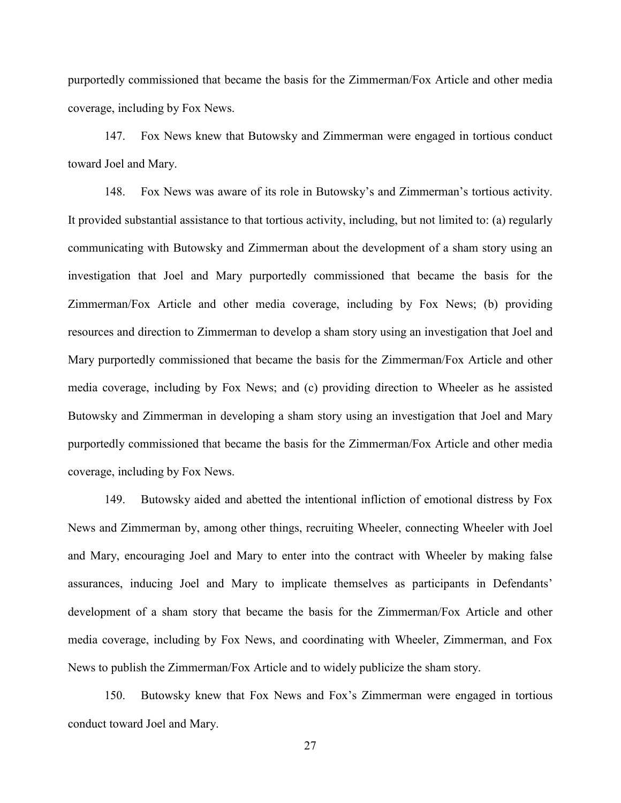purportedly commissioned that became the basis for the Zimmerman/Fox Article and other media coverage, including by Fox News.

147. Fox News knew that Butowsky and Zimmerman were engaged in tortious conduct toward Joel and Mary.

148. Fox News was aware of its role in Butowsky's and Zimmerman's tortious activity. It provided substantial assistance to that tortious activity, including, but not limited to: (a) regularly communicating with Butowsky and Zimmerman about the development of a sham story using an investigation that Joel and Mary purportedly commissioned that became the basis for the Zimmerman/Fox Article and other media coverage, including by Fox News; (b) providing resources and direction to Zimmerman to develop a sham story using an investigation that Joel and Mary purportedly commissioned that became the basis for the Zimmerman/Fox Article and other media coverage, including by Fox News; and (c) providing direction to Wheeler as he assisted Butowsky and Zimmerman in developing a sham story using an investigation that Joel and Mary purportedly commissioned that became the basis for the Zimmerman/Fox Article and other media coverage, including by Fox News.

149. Butowsky aided and abetted the intentional infliction of emotional distress by Fox News and Zimmerman by, among other things, recruiting Wheeler, connecting Wheeler with Joel and Mary, encouraging Joel and Mary to enter into the contract with Wheeler by making false assurances, inducing Joel and Mary to implicate themselves as participants in Defendants' development of a sham story that became the basis for the Zimmerman/Fox Article and other media coverage, including by Fox News, and coordinating with Wheeler, Zimmerman, and Fox News to publish the Zimmerman/Fox Article and to widely publicize the sham story.

150. Butowsky knew that Fox News and Fox's Zimmerman were engaged in tortious conduct toward Joel and Mary.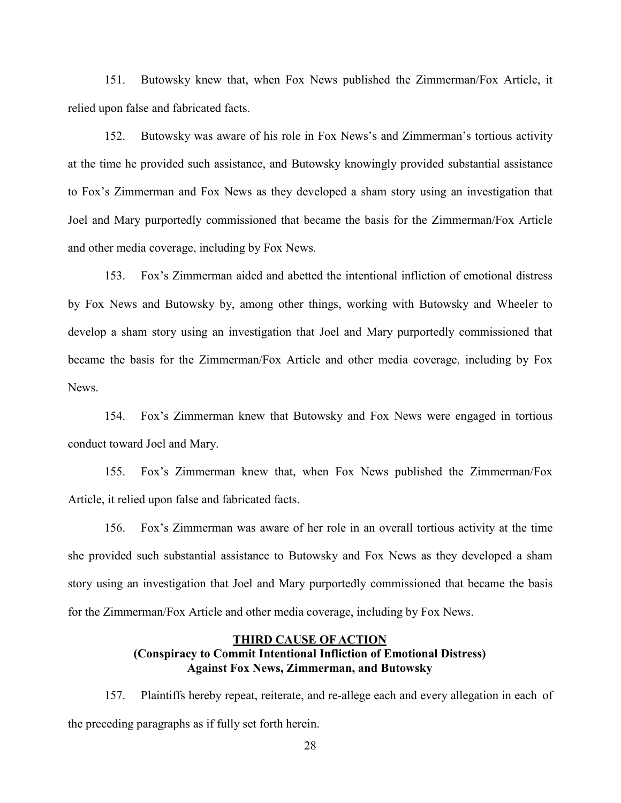151. Butowsky knew that, when Fox News published the Zimmerman/Fox Article, it relied upon false and fabricated facts.

152. Butowsky was aware of his role in Fox News's and Zimmerman's tortious activity at the time he provided such assistance, and Butowsky knowingly provided substantial assistance to Fox's Zimmerman and Fox News as they developed a sham story using an investigation that Joel and Mary purportedly commissioned that became the basis for the Zimmerman/Fox Article and other media coverage, including by Fox News.

153. Fox's Zimmerman aided and abetted the intentional infliction of emotional distress by Fox News and Butowsky by, among other things, working with Butowsky and Wheeler to develop a sham story using an investigation that Joel and Mary purportedly commissioned that became the basis for the Zimmerman/Fox Article and other media coverage, including by Fox **News**.

154. Fox's Zimmerman knew that Butowsky and Fox News were engaged in tortious conduct toward Joel and Mary.

155. Fox's Zimmerman knew that, when Fox News published the Zimmerman/Fox Article, it relied upon false and fabricated facts.

156. Fox's Zimmerman was aware of her role in an overall tortious activity at the time she provided such substantial assistance to Butowsky and Fox News as they developed a sham story using an investigation that Joel and Mary purportedly commissioned that became the basis for the Zimmerman/Fox Article and other media coverage, including by Fox News.

## **THIRD CAUSE OF ACTION (Conspiracy to Commit Intentional Infliction of Emotional Distress) Against Fox News, Zimmerman, and Butowsky**

157. Plaintiffs hereby repeat, reiterate, and re-allege each and every allegation in each of the preceding paragraphs as if fully set forth herein.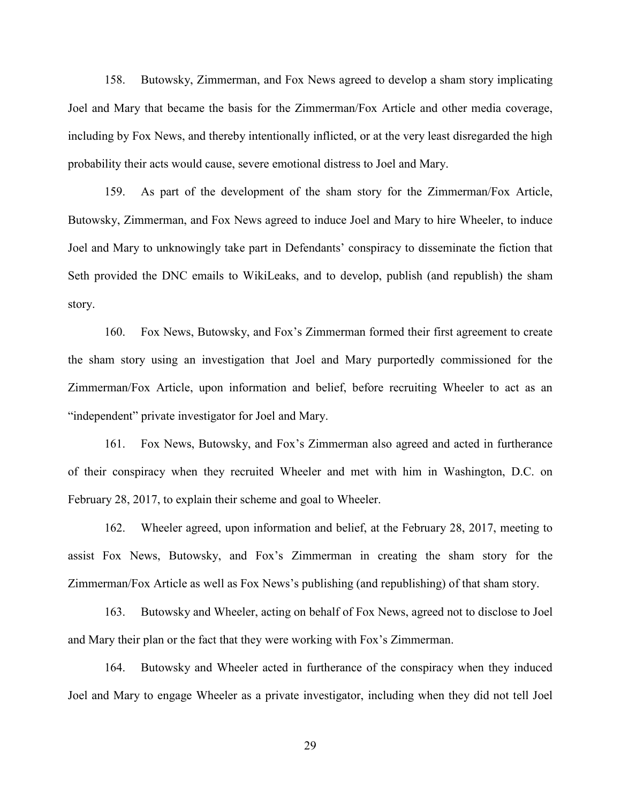158. Butowsky, Zimmerman, and Fox News agreed to develop a sham story implicating Joel and Mary that became the basis for the Zimmerman/Fox Article and other media coverage, including by Fox News, and thereby intentionally inflicted, or at the very least disregarded the high probability their acts would cause, severe emotional distress to Joel and Mary.

159. As part of the development of the sham story for the Zimmerman/Fox Article, Butowsky, Zimmerman, and Fox News agreed to induce Joel and Mary to hire Wheeler, to induce Joel and Mary to unknowingly take part in Defendants' conspiracy to disseminate the fiction that Seth provided the DNC emails to WikiLeaks, and to develop, publish (and republish) the sham story.

160. Fox News, Butowsky, and Fox's Zimmerman formed their first agreement to create the sham story using an investigation that Joel and Mary purportedly commissioned for the Zimmerman/Fox Article, upon information and belief, before recruiting Wheeler to act as an "independent" private investigator for Joel and Mary.

161. Fox News, Butowsky, and Fox's Zimmerman also agreed and acted in furtherance of their conspiracy when they recruited Wheeler and met with him in Washington, D.C. on February 28, 2017, to explain their scheme and goal to Wheeler.

162. Wheeler agreed, upon information and belief, at the February 28, 2017, meeting to assist Fox News, Butowsky, and Fox's Zimmerman in creating the sham story for the Zimmerman/Fox Article as well as Fox News's publishing (and republishing) of that sham story.

163. Butowsky and Wheeler, acting on behalf of Fox News, agreed not to disclose to Joel and Mary their plan or the fact that they were working with Fox's Zimmerman.

164. Butowsky and Wheeler acted in furtherance of the conspiracy when they induced Joel and Mary to engage Wheeler as a private investigator, including when they did not tell Joel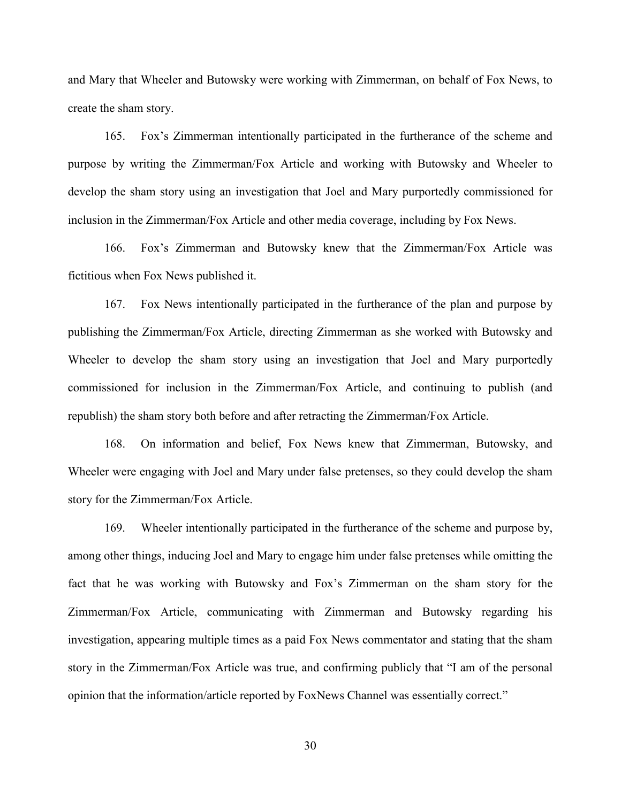and Mary that Wheeler and Butowsky were working with Zimmerman, on behalf of Fox News, to create the sham story.

165. Fox's Zimmerman intentionally participated in the furtherance of the scheme and purpose by writing the Zimmerman/Fox Article and working with Butowsky and Wheeler to develop the sham story using an investigation that Joel and Mary purportedly commissioned for inclusion in the Zimmerman/Fox Article and other media coverage, including by Fox News.

166. Fox's Zimmerman and Butowsky knew that the Zimmerman/Fox Article was fictitious when Fox News published it.

167. Fox News intentionally participated in the furtherance of the plan and purpose by publishing the Zimmerman/Fox Article, directing Zimmerman as she worked with Butowsky and Wheeler to develop the sham story using an investigation that Joel and Mary purportedly commissioned for inclusion in the Zimmerman/Fox Article, and continuing to publish (and republish) the sham story both before and after retracting the Zimmerman/Fox Article.

168. On information and belief, Fox News knew that Zimmerman, Butowsky, and Wheeler were engaging with Joel and Mary under false pretenses, so they could develop the sham story for the Zimmerman/Fox Article.

169. Wheeler intentionally participated in the furtherance of the scheme and purpose by, among other things, inducing Joel and Mary to engage him under false pretenses while omitting the fact that he was working with Butowsky and Fox's Zimmerman on the sham story for the Zimmerman/Fox Article, communicating with Zimmerman and Butowsky regarding his investigation, appearing multiple times as a paid Fox News commentator and stating that the sham story in the Zimmerman/Fox Article was true, and confirming publicly that "I am of the personal opinion that the information/article reported by FoxNews Channel was essentially correct."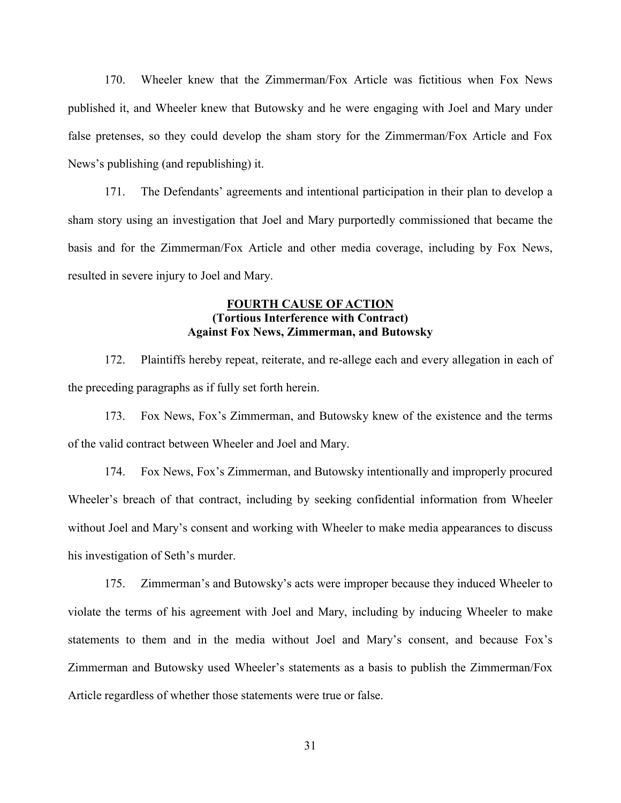170. Wheeler knew that the Zimmerman/Fox Article was fictitious when Fox News published it, and Wheeler knew that Butowsky and he were engaging with Joel and Mary under false pretenses, so they could develop the sham story for the Zimmerman/Fox Article and Fox News's publishing (and republishing) it.

171. The Defendants' agreements and intentional participation in their plan to develop a sham story using an investigation that Joel and Mary purportedly commissioned that became the basis and for the Zimmerman/Fox Article and other media coverage, including by Fox News, resulted in severe injury to Joel and Mary.

### **FOURTH CAUSE OF ACTION (Tortious Interference with Contract) Against Fox News, Zimmerman, and Butowsky**

172. Plaintiffs hereby repeat, reiterate, and re-allege each and every allegation in each of the preceding paragraphs as if fully set forth herein.

173. Fox News, Fox's Zimmerman, and Butowsky knew of the existence and the terms of the valid contract between Wheeler and Joel and Mary.

174. Fox News, Fox's Zimmerman, and Butowsky intentionally and improperly procured Wheeler's breach of that contract, including by seeking confidential information from Wheeler without Joel and Mary's consent and working with Wheeler to make media appearances to discuss his investigation of Seth's murder.

175. Zimmerman's and Butowsky's acts were improper because they induced Wheeler to violate the terms of his agreement with Joel and Mary, including by inducing Wheeler to make statements to them and in the media without Joel and Mary's consent, and because Fox's Zimmerman and Butowsky used Wheeler's statements as a basis to publish the Zimmerman/Fox Article regardless of whether those statements were true or false.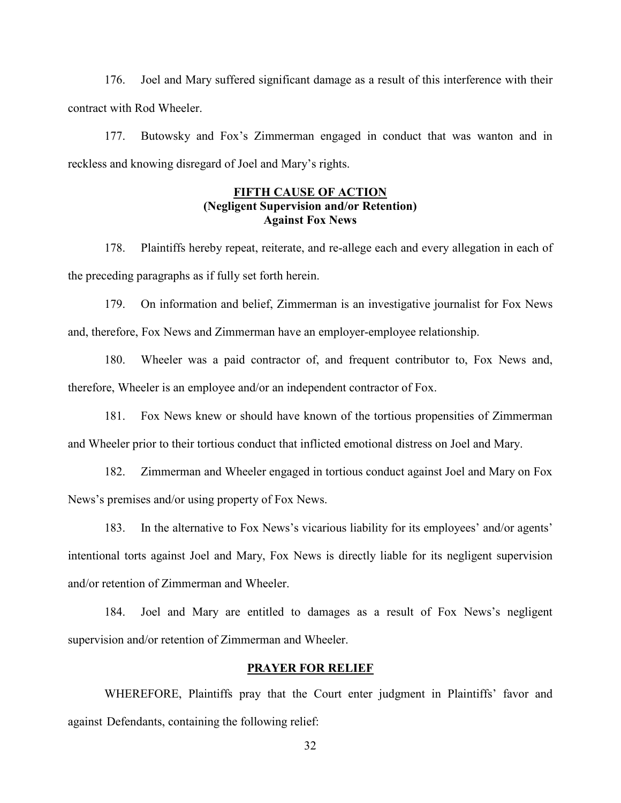176. Joel and Mary suffered significant damage as a result of this interference with their contract with Rod Wheeler.

177. Butowsky and Fox's Zimmerman engaged in conduct that was wanton and in reckless and knowing disregard of Joel and Mary's rights.

### **FIFTH CAUSE OF ACTION (Negligent Supervision and/or Retention) Against Fox News**

178. Plaintiffs hereby repeat, reiterate, and re-allege each and every allegation in each of the preceding paragraphs as if fully set forth herein.

179. On information and belief, Zimmerman is an investigative journalist for Fox News and, therefore, Fox News and Zimmerman have an employer-employee relationship.

180. Wheeler was a paid contractor of, and frequent contributor to, Fox News and, therefore, Wheeler is an employee and/or an independent contractor of Fox.

181. Fox News knew or should have known of the tortious propensities of Zimmerman and Wheeler prior to their tortious conduct that inflicted emotional distress on Joel and Mary.

182. Zimmerman and Wheeler engaged in tortious conduct against Joel and Mary on Fox News's premises and/or using property of Fox News.

183. In the alternative to Fox News's vicarious liability for its employees' and/or agents' intentional torts against Joel and Mary, Fox News is directly liable for its negligent supervision and/or retention of Zimmerman and Wheeler.

184. Joel and Mary are entitled to damages as a result of Fox News's negligent supervision and/or retention of Zimmerman and Wheeler.

### **PRAYER FOR RELIEF**

WHEREFORE, Plaintiffs pray that the Court enter judgment in Plaintiffs' favor and against Defendants, containing the following relief: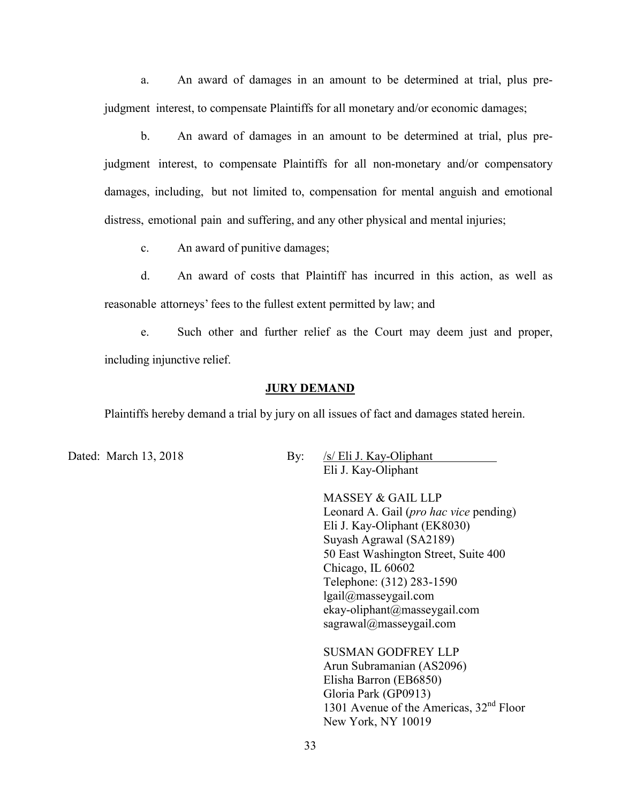a. An award of damages in an amount to be determined at trial, plus prejudgment interest, to compensate Plaintiffs for all monetary and/or economic damages;

b. An award of damages in an amount to be determined at trial, plus prejudgment interest, to compensate Plaintiffs for all non-monetary and/or compensatory damages, including, but not limited to, compensation for mental anguish and emotional distress, emotional pain and suffering, and any other physical and mental injuries;

c. An award of punitive damages;

d. An award of costs that Plaintiff has incurred in this action, as well as reasonable attorneys' fees to the fullest extent permitted by law; and

e. Such other and further relief as the Court may deem just and proper, including injunctive relief.

#### **JURY DEMAND**

Plaintiffs hereby demand a trial by jury on all issues of fact and damages stated herein.

Dated: March 13, 2018 By: /s/ Eli J. Kay-Oliphant Eli J. Kay-Oliphant

> MASSEY & GAIL LLP Leonard A. Gail (*pro hac vice* pending) Eli J. Kay-Oliphant (EK8030) Suyash Agrawal (SA2189) 50 East Washington Street, Suite 400 Chicago, IL 60602 Telephone: (312) 283-1590 lgail@masseygail.com ekay-oliphant@masseygail.com sagrawal@masseygail.com

SUSMAN GODFREY LLP Arun Subramanian (AS2096) Elisha Barron (EB6850) Gloria Park (GP0913) 1301 Avenue of the Americas,  $32<sup>nd</sup>$  Floor New York, NY 10019